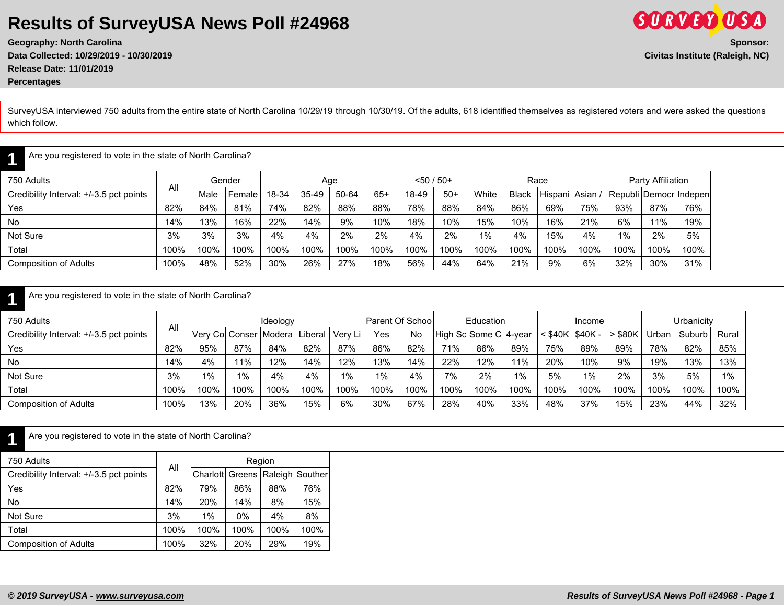**Geography: North Carolina Sponsor: Data Collected: 10/29/2019 - 10/30/2019 Civitas Institute (Raleigh, NC) Release Date: 11/01/2019 Percentages**

**1**

**1**

SurveyUSA interviewed 750 adults from the entire state of North Carolina 10/29/19 through 10/30/19. Of the adults, 618 identified themselves as registered voters and were asked the questions which follow.

Are you registered to vote in the state of North Carolina?

| 750 Adults                              |      |      | Gender |       | Age     |       |       | $< 50 / 50+$ |       |       |       | Race            |      |      | Party Affiliation |                          |
|-----------------------------------------|------|------|--------|-------|---------|-------|-------|--------------|-------|-------|-------|-----------------|------|------|-------------------|--------------------------|
| Credibility Interval: +/-3.5 pct points | All  | Male | Female | 18-34 | $35-49$ | 50-64 | $65+$ | 18-49        | $50+$ | White | Black | Hispani Asian / |      |      |                   | Republi Democr   Indepen |
| Yes                                     | 82%  | 84%  | 81%    | 74%   | 82%     | 88%   | 88%   | 78%          | 88%   | 84%   | 86%   | 69%             | 75%  | 93%  | 87%               | 76%                      |
| No                                      | 14%  | 13%  | 16%    | 22%   | 14%     | 9%    | 10%   | 18%          | 10%   | 15%   | 10%   | 16%             | 21%  | 6%   | 11%               | 19%                      |
| Not Sure                                | 3%   | 3%   | 3%     | 4%    | 4%      | 2%    | 2%    | 4%           | 2%    | 1%    | 4%    | 15%             | 4%   | 1%   | 2%                | 5%                       |
| Total                                   | 100% | 100% | 100%   | 100%  | 100%    | 100%  | 100%  | 100%         | 100%  | 100%  | 100%  | 100%            | 100% | 100% | 100%              | 100%                     |
| <b>Composition of Adults</b>            | 100% | 48%  | 52%    | 30%   | 26%     | 27%   | 18%   | 56%          | 44%   | 64%   | 21%   | 9%              | 6%   | 32%  | 30%               | 31%                      |

#### Are you registered to vote in the state of North Carolina?

Are you registered to vote in the state of North Carolina?

| 750 Adults                              |      |       |                 | Ideology        |         |           | <b>Parent Of School</b> |      |                       | Education |      |                     | Income |           |       | Urbanicity |       |
|-----------------------------------------|------|-------|-----------------|-----------------|---------|-----------|-------------------------|------|-----------------------|-----------|------|---------------------|--------|-----------|-------|------------|-------|
| Credibility Interval: +/-3.5 pct points | All  |       | Verv Col Conser | <i>I</i> Modera | Liberal | . Verv Li | Yes                     | No   | High Sc Some C 4-year |           |      | $<$ \$40K   \$40K - |        | $>$ \$80K | Jrban | Suburb     | Rural |
| Yes                                     | 82%  | 95%   | 87%             | 84%             | 82%     | 87%       | 86%                     | 82%  | 71%                   | 86%       | 89%  | 75%                 | 89%    | 89%       | 78%   | 82%        | 85%   |
| <b>No</b>                               | 14%  | 4%    | 11%             | 12%             | 14%     | 12%       | 13%                     | 14%  | 22%                   | 12%       | 11%  | 20%                 | 10%    | 9%        | 19%   | 13%        | 13%   |
| Not Sure                                | 3%   | $1\%$ | $1\%$           | 4%              | 4%      | 1%        | 1%                      | 4%   | 7%                    | 2%        | 1%   | 5%                  | $1\%$  | 2%        | 3%    | 5%         | 1%    |
| Total                                   | 100% | 100%  | 100%            | 100%            | 100%    | 100%      | 100%                    | 100% | 100%                  | 100%      | 100% | 100%                | 100%   | 100%      | 100%  | 100%       | 100%  |
| Composition of Adults                   | 100% | 13%   | 20%             | 36%             | 15%     | 6%        | 30%                     | 67%  | 28%                   | 40%       | 33%  | 48%                 | 37%    | 15%       | 23%   | 44%        | 32%   |

| Are you registered to vote in the state of North Carolina?<br>1 |      |                         |        |      |         |
|-----------------------------------------------------------------|------|-------------------------|--------|------|---------|
| 750 Adults                                                      | All  |                         | Region |      |         |
| Credibility Interval: +/-3.5 pct points                         |      | Charlott Greens Raleigh |        |      | Souther |
| Yes                                                             | 82%  | 79%                     | 86%    | 88%  | 76%     |
| <b>No</b>                                                       | 14%  | 20%                     | 14%    | 8%   | 15%     |
| Not Sure                                                        | 3%   | $1\%$                   | $0\%$  | 4%   | 8%      |
| Total                                                           | 100% | 100%                    | 100%   | 100% | 100%    |
| <b>Composition of Adults</b>                                    | 100% | 32%                     | 20%    | 29%  | 19%     |



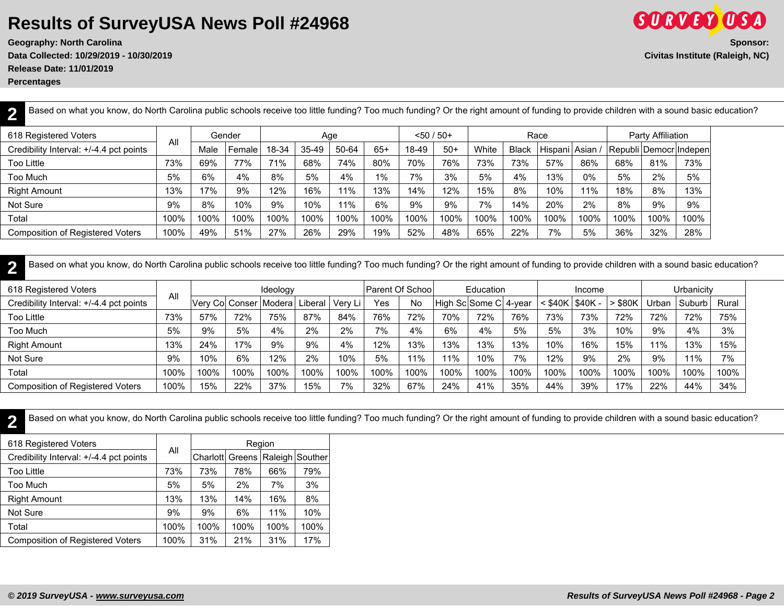**Geography: North Carolina Sponsor: Data Collected: 10/29/2019 - 10/30/2019 Civitas Institute (Raleigh, NC) Release Date: 11/01/2019**

**Percentages**

| Based on what you know, do North Carolina public schools receive too little funding? Too much funding? Or the right amount of funding to provide children with a sound basic education? |      |      |        |       |       |       |       |       |               |       |              |                 |       |      |                   |                          |
|-----------------------------------------------------------------------------------------------------------------------------------------------------------------------------------------|------|------|--------|-------|-------|-------|-------|-------|---------------|-------|--------------|-----------------|-------|------|-------------------|--------------------------|
| 618 Registered Voters                                                                                                                                                                   |      |      | Gender |       |       | Age   |       |       | $< 50 / 50 +$ |       |              | Race            |       |      | Party Affiliation |                          |
| Credibility Interval: +/-4.4 pct points                                                                                                                                                 | All  | Male | Female | 18-34 | 35-49 | 50-64 | $65+$ | 18-49 | $50+$         | White | <b>Black</b> | Hispani Asian / |       |      |                   | Republi Democr   Indepen |
| Too Little                                                                                                                                                                              | 73%  | 69%  | 77%    | 71%   | 68%   | 74%   | 80%   | 70%   | 76%           | 73%   | 73%          | 57%             | 86%   | 68%  | 81%               | 73%                      |
| Too Much                                                                                                                                                                                | 5%   | 6%   | 4%     | 8%    | 5%    | 4%    | $1\%$ | 7%    | 3%            | 5%    | 4%           | 13%             | $0\%$ | 5%   | 2%                | 5%                       |
| <b>Right Amount</b>                                                                                                                                                                     | 13%  | 17%  | 9%     | 12%   | 16%   | 11%   | 13%   | 14%   | 12%           | 15%   | 8%           | 10%             | 11%   | 18%  | 8%                | 13%                      |
| Not Sure                                                                                                                                                                                | 9%   | 8%   | 10%    | 9%    | 10%   | 11%   | 6%    | 9%    | 9%            | 7%    | 14%          | 20%             | 2%    | 8%   | 9%                | 9%                       |
| Total                                                                                                                                                                                   | 100% | 100% | 100%   | 100%  | 100%  | 100%  | 100%  | 100%  | 100%          | 100%  | 100%         | 100%            | 100%  | 100% | 100%              | 100%                     |
| <b>Composition of Registered Voters</b>                                                                                                                                                 | 100% | 49%  | 51%    | 27%   | 26%   | 29%   | 19%   | 52%   | 48%           | 65%   | 22%          | 7%              | 5%    | 36%  | 32%               | 28%                      |

**2** Based on what you know, do North Carolina public schools receive too little funding? Too much funding? Or the right amount of funding to provide children with a sound basic education?

| 618 Registered Voters                   |      |                              |      | Ideology |         |         |      | Parent Of School |                       | Education |      |                             | Income |           |       | Urbanicity |       |
|-----------------------------------------|------|------------------------------|------|----------|---------|---------|------|------------------|-----------------------|-----------|------|-----------------------------|--------|-----------|-------|------------|-------|
| Credibility Interval: +/-4.4 pct points | All  | Very Col Conser   Modera   L |      |          | Liberal | Verv Li | Yes  | No               | High Sc Some C 4-year |           |      | $<$ \$40K $\sqrt{}$ \$40K - |        | $>$ \$80K | Jrban | Suburb     | Rural |
| Too Little                              | 73%  | 57%                          | 72%  | 75%      | 87%     | 84%     | 76%  | 72%              | 70%                   | 72%       | 76%  | 73%                         | 73%    | 72%       | 72%   | 72%        | 75%   |
| Too Much                                | 5%   | 9%                           | 5%   | 4%       | 2%      | 2%      | 7%   | 4%               | 6%                    | 4%        | 5%   | 5%                          | 3%     | 10%       | 9%    | 4%         | 3%    |
| <b>Right Amount</b>                     | 13%  | 24%                          | 17%  | 9%       | 9%      | 4%      | 12%  | 13%              | 13%                   | 13%       | 13%  | 10%                         | 16%    | 15%       | 11%   | 13%        | 15%   |
| Not Sure                                | 9%   | 10%                          | 6%   | 12%      | 2%      | 10%     | 5%   | 11%              | 11%                   | 10%       | 7%   | 12%                         | 9%     | 2%        | 9%    | 11%        | 7%    |
| Total                                   | 100% | 100%                         | 100% | 100%     | 100%    | 100%    | 100% | 100%             | 100%                  | 100%      | 100% | 100%                        | 100%   | 100%      | 100%  | 100%       | 100%  |
| <b>Composition of Registered Voters</b> | 100% | 15%                          | 22%  | 37%      | 15%     | 7%      | 32%  | 67%              | 24%                   | 41%       | 35%  | 44%                         | 39%    | 17%       | 22%   | 44%        | 34%   |

**2** Based on what you know, do North Carolina public schools receive too little funding? Too much funding? Or the right amount of funding to provide children with a sound basic education?

| 618 Registered Voters                   |      |                                      |      | Region |      |
|-----------------------------------------|------|--------------------------------------|------|--------|------|
| Credibility Interval: +/-4.4 pct points | All  | Charlott  Greens   Raleigh   Souther |      |        |      |
| <b>Too Little</b>                       | 73%  | 73%                                  | 78%  | 66%    | 79%  |
| Too Much                                | 5%   | 5%                                   | 2%   | 7%     | 3%   |
| <b>Right Amount</b>                     | 13%  | 13%                                  | 14%  | 16%    | 8%   |
| Not Sure                                | 9%   | 9%                                   | 6%   | 11%    | 10%  |
| Total                                   | 100% | 100%                                 | 100% | 100%   | 100% |
| <b>Composition of Registered Voters</b> | 100% | 31%                                  | 21%  | 31%    | 17%  |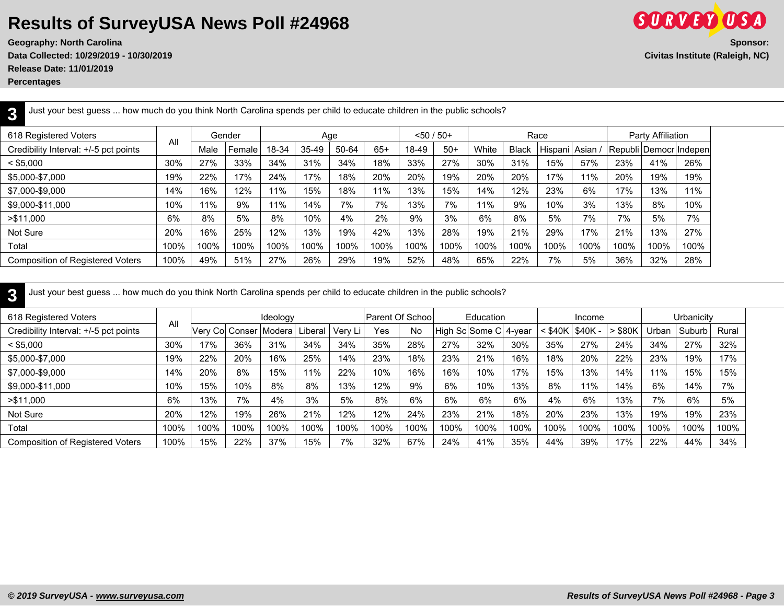**Geography: North Carolina Sponsor: Data Collected: 10/29/2019 - 10/30/2019 Civitas Institute (Raleigh, NC)**

**Release Date: 11/01/2019**

**Percentages**

**3**

| rv.                                     |      |      |        |       |       |       |       |              |       |       |              |               |      |      |                   |                        |  |
|-----------------------------------------|------|------|--------|-------|-------|-------|-------|--------------|-------|-------|--------------|---------------|------|------|-------------------|------------------------|--|
| 618 Registered Voters                   |      |      | Gender |       |       | Age   |       | $< 50 / 50+$ |       |       |              | Race          |      |      | Party Affiliation |                        |  |
| Credibility Interval: +/-5 pct points   | All  | Male | Female | 18-34 | 35-49 | 50-64 | $65+$ | 18-49        | $50+$ | White | <b>Black</b> | Hispani Asian |      |      |                   | Republi Democr Indepen |  |
| $<$ \$5,000                             | 30%  | 27%  | 33%    | 34%   | 31%   | 34%   | 18%   | 33%          | 27%   | 30%   | 31%          | 15%           | 57%  | 23%  | 41%               | 26%                    |  |
| \$5,000-\$7,000                         | 19%  | 22%  | 17%    | 24%   | 17%   | 18%   | 20%   | 20%          | 19%   | 20%   | 20%          | 17%           | 11%  | 20%  | 19%               | 19%                    |  |
| \$7,000-\$9,000                         | 14%  | 16%  | 12%    | 11%   | 15%   | 18%   | 11%   | 13%          | 15%   | 14%   | 12%          | 23%           | 6%   | 17%  | 13%               | 11%                    |  |
| \$9,000-\$11,000                        | 10%  | 11%  | 9%     | 11%   | 14%   | 7%    | 7%    | 13%          | 7%    | 11%   | 9%           | 10%           | 3%   | 13%  | 8%                | 10%                    |  |
| > \$11,000                              | 6%   | 8%   | 5%     | 8%    | 10%   | 4%    | 2%    | 9%           | 3%    | 6%    | 8%           | 5%            | 7%   | 7%   | 5%                | 7%                     |  |
| Not Sure                                | 20%  | 16%  | 25%    | 12%   | 13%   | 19%   | 42%   | 13%          | 28%   | 19%   | 21%          | 29%           | 17%  | 21%  | 13%               | 27%                    |  |
| Total                                   | 100% | 100% | 100%   | 100%  | 100%  | 100%  | 100%  | 100%         | 100%  | 100%  | 100%         | 100%          | 100% | 100% | 100%              | 100%                   |  |
| <b>Composition of Registered Voters</b> | 100% | 49%  | 51%    | 27%   | 26%   | 29%   | 19%   | 52%          | 48%   | 65%   | 22%          | 7%            | 5%   | 36%  | 32%               | 28%                    |  |

**3** Just your best guess ... how much do you think North Carolina spends per child to educate children in the public schools?

Just your best guess ... how much do you think North Carolina spends per child to educate children in the public schools?

| 618 Registered Voters                   | All  |                 |      | Ideology |         |         | Parent Of Schoo |      |      | Education             |      |           | Income   |       |       | Urbanicity |       |
|-----------------------------------------|------|-----------------|------|----------|---------|---------|-----------------|------|------|-----------------------|------|-----------|----------|-------|-------|------------|-------|
| Credibility Interval: +/-5 pct points   |      | Very Col Conser |      | Modera   | Liberal | Verv Li | Yes             | No   |      | High Sc Some C 4-year |      | $<$ \$40K | $$40K -$ | \$80K | Urban | Suburb     | Rural |
| $<$ \$5,000                             | 30%  | 17%             | 36%  | 31%      | 34%     | 34%     | 35%             | 28%  | 27%  | 32%                   | 30%  | 35%       | 27%      | 24%   | 34%   | 27%        | 32%   |
| \$5,000-\$7,000                         | 19%  | 22%             | 20%  | 16%      | 25%     | 14%     | 23%             | 18%  | 23%  | 21%                   | 16%  | 18%       | 20%      | 22%   | 23%   | 19%        | 17%   |
| \$7,000-\$9,000                         | 14%  | 20%             | 8%   | 15%      | 11%     | 22%     | 10%             | 16%  | 16%  | 10%                   | 17%  | 15%       | 13%      | 14%   | 11%   | 15%        | 15%   |
| \$9,000-\$11,000                        | 10%  | 15%             | 10%  | 8%       | 8%      | 13%     | 12%             | 9%   | 6%   | 10%                   | 13%  | 8%        | 11%      | 14%   | 6%    | 14%        | 7%    |
| > \$11,000                              | 6%   | 13%             | 7%   | 4%       | 3%      | 5%      | 8%              | 6%   | 6%   | 6%                    | 6%   | 4%        | 6%       | 13%   | 7%    | 6%         | 5%    |
| Not Sure                                | 20%  | 12%             | 19%  | 26%      | 21%     | 12%     | 12%             | 24%  | 23%  | 21%                   | 18%  | 20%       | 23%      | 13%   | 19%   | 19%        | 23%   |
| Total                                   | 100% | 100%            | 100% | 100%     | 100%    | 100%    | 100%            | 100% | 100% | 100%                  | 100% | 100%      | 100%     | 100%  | 100%  | 100%       | 100%  |
| <b>Composition of Registered Voters</b> | 100% | 15%             | 22%  | 37%      | 15%     | 7%      | 32%             | 67%  | 24%  | 41%                   | 35%  | 44%       | 39%      | 17%   | 22%   | 44%        | 34%   |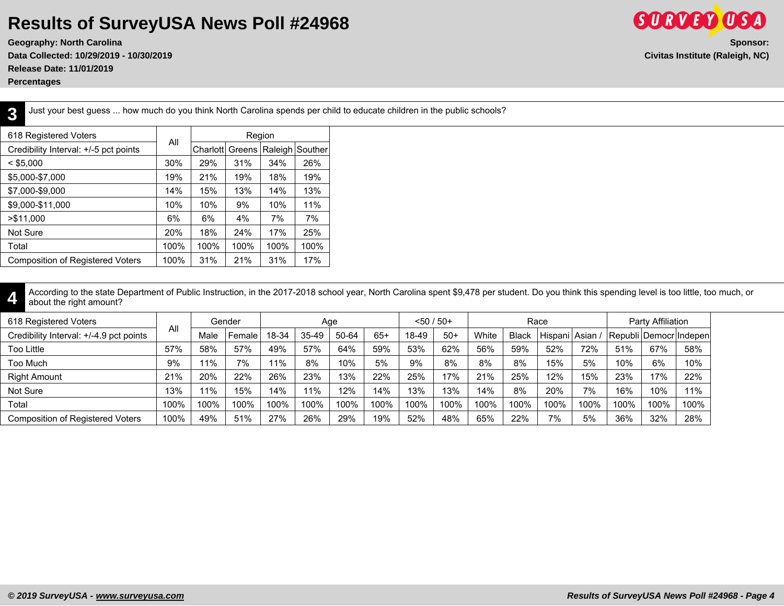**Geography: North Carolina Sponsor: Data Collected: 10/29/2019 - 10/30/2019 Civitas Institute (Raleigh, NC) Release Date: 11/01/2019**

**Percentages**

**3**

Just your best guess ... how much do you think North Carolina spends per child to educate children in the public schools?

| 618 Registered Voters                   |      |          |        | Region  |         |
|-----------------------------------------|------|----------|--------|---------|---------|
| Credibility Interval: +/-5 pct points   | All  | Charlott | Greens | Raleigh | Souther |
| $<$ \$5,000                             | 30%  | 29%      | 31%    | 34%     | 26%     |
| \$5,000-\$7,000                         | 19%  | 21%      | 19%    | 18%     | 19%     |
| \$7,000-\$9,000                         | 14%  | 15%      | 13%    | 14%     | 13%     |
| \$9,000-\$11,000                        | 10%  | 10%      | 9%     | 10%     | 11%     |
| > \$11,000                              | 6%   | 6%       | 4%     | 7%      | 7%      |
| Not Sure                                | 20%  | 18%      | 24%    | 17%     | 25%     |
| Total                                   | 100% | 100%     | 100%   | 100%    | 100%    |
| <b>Composition of Registered Voters</b> | 100% | 31%      | 21%    | 31%     | 17%     |

**4** According to the state Department of Public Instruction, in the 2017-2018 school year, North Carolina spent \$9,478 per student. Do you think this spending level is too little, too much, or about the right amount?

| 618 Registered Voters                   |      |      | Gender |       |         | Aae   |       | $< 50 / 50+$ |       |       |              | Race            |      |      | Party Affiliation      |      |
|-----------------------------------------|------|------|--------|-------|---------|-------|-------|--------------|-------|-------|--------------|-----------------|------|------|------------------------|------|
| Credibility Interval: +/-4.9 pct points | All  | Male | Female | 18-34 | $35-49$ | 50-64 | $65+$ | 18-49        | $50+$ | White | <b>Black</b> | Hispani Asian / |      |      | Republi Democr Indepen |      |
| Too Little                              | 57%  | 58%  | 57%    | 49%   | 57%     | 64%   | 59%   | 53%          | 62%   | 56%   | 59%          | 52%             | 72%  | 51%  | 67%                    | 58%  |
| Too Much                                | 9%   | 11%  | 7%     | 11%   | 8%      | 10%   | 5%    | 9%           | 8%    | 8%    | 8%           | 15%             | 5%   | 10%  | 6%                     | 10%  |
| <b>Right Amount</b>                     | 21%  | 20%  | 22%    | 26%   | 23%     | 13%   | 22%   | 25%          | 17%   | 21%   | 25%          | 12%             | 15%  | 23%  | 17%                    | 22%  |
| Not Sure                                | 13%  | 11%  | 15%    | 14%   | 11%     | 12%   | 14%   | 13%          | 13%   | 14%   | 8%           | 20%             | 7%   | 16%  | 10%                    | 11%  |
| Total                                   | 100% | 100% | 100%   | 100%  | 100%    | 100%  | 100%  | 100%         | 100%  | 100%  | 100%         | 100%            | 100% | 100% | 100%                   | 100% |
| <b>Composition of Registered Voters</b> | 100% | 49%  | 51%    | 27%   | 26%     | 29%   | 19%   | 52%          | 48%   | 65%   | 22%          | 7%              | 5%   | 36%  | 32%                    | 28%  |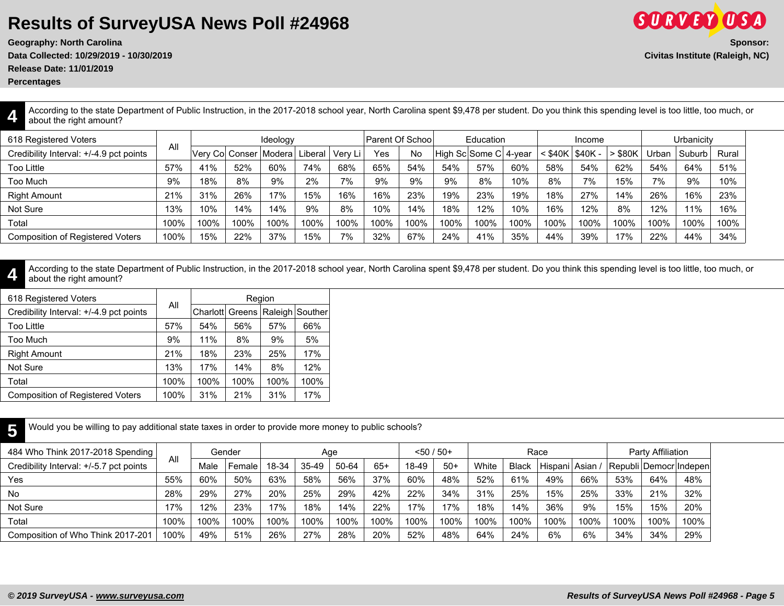**Geography: North Carolina Sponsor:**

**Data Collected: 10/29/2019 - 10/30/2019 Civitas Institute (Raleigh, NC)**

**Release Date: 11/01/2019**

**Percentages**

**4**

**5**

According to the state Department of Public Instruction, in the 2017-2018 school year, North Carolina spent \$9,478 per student. Do you think this spending level is too little, too much, or about the right amount?

| 618 Registered Voters                   | All  |      |      | Ideology                 |         |         | Parent Of School |      |                       | Education |      |             | Income      |       |       | Urbanicity |       |
|-----------------------------------------|------|------|------|--------------------------|---------|---------|------------------|------|-----------------------|-----------|------|-------------|-------------|-------|-------|------------|-------|
| Credibility Interval: +/-4.9 pct points |      |      |      | Verv Col Conser   Modera | Liberal | Verv Li | Yes              | No   | High Sc Some C 4-year |           |      | $<$ \$40K i | $1$ \$40K - | \$80K | Urban | Suburb     | Rural |
| Too Little                              | 57%  | 41%  | 52%  | 60%                      | 74%     | 68%     | 65%              | 54%  | 54%                   | 57%       | 60%  | 58%         | 54%         | 62%   | 54%   | 64%        | 51%   |
| Too Much                                | 9%   | 18%  | 8%   | 9%                       | 2%      | 7%      | 9%               | 9%   | 9%                    | 8%        | 10%  | 8%          | 7%          | 15%   | 7%    | 9%         | 10%   |
| <b>Right Amount</b>                     | 21%  | 31%  | 26%  | 17%                      | 15%     | 16%     | 16%              | 23%  | 19%                   | 23%       | 19%  | 18%         | 27%         | 14%   | 26%   | 16%        | 23%   |
| Not Sure                                | 13%  | 10%  | 14%  | 14%                      | 9%      | 8%      | 10%              | 14%  | 18%                   | 12%       | 10%  | 16%         | 12%         | 8%    | 12%   | 11%        | 16%   |
| Total                                   | 100% | 100% | 100% | 100%                     | 100%    | 100%    | 100%             | 100% | 100%                  | 100%      | 100% | 100%        | 100%        | 100%  | 100%  | 100%       | 100%  |
| <b>Composition of Registered Voters</b> | 100% | 15%  | 22%  | 37%                      | 15%     | 7%      | 32%              | 67%  | 24%                   | 41%       | 35%  | 44%         | 39%         | 17%   | 22%   | 44%        | 34%   |

**4** According to the state Department of Public Instruction, in the 2017-2018 school year, North Carolina spent \$9,478 per student. Do you think this spending level is too little, too much, or about the right amount?

| 618 Registered Voters                   |      |      |      | Region |                                     |
|-----------------------------------------|------|------|------|--------|-------------------------------------|
| Credibility Interval: +/-4.9 pct points | All  |      |      |        | Charlott Greens   Raleigh   Souther |
| <b>Too Little</b>                       | 57%  | 54%  | 56%  | 57%    | 66%                                 |
| Too Much                                | 9%   | 11%  | 8%   | 9%     | 5%                                  |
| <b>Right Amount</b>                     | 21%  | 18%  | 23%  | 25%    | 17%                                 |
| Not Sure                                | 13%  | 17%  | 14%  | 8%     | 12%                                 |
| Total                                   | 100% | 100% | 100% | 100%   | 100%                                |
| <b>Composition of Registered Voters</b> | 100% | 31%  | 21%  | 31%    | 17%                                 |
|                                         |      |      |      |        |                                     |

Would you be willing to pay additional state taxes in order to provide more money to public schools?

| 484 Who Think 2017-2018 Spending        |      |      | Gender |       |           | Age   |       | $< 50 / 50+$ |       |       |              | Race            |      |                        | Party Affiliation |      |
|-----------------------------------------|------|------|--------|-------|-----------|-------|-------|--------------|-------|-------|--------------|-----------------|------|------------------------|-------------------|------|
| Credibility Interval: +/-5.7 pct points | All  | Male | Female | 18-34 | $35 - 49$ | 50-64 | $65+$ | 18-49        | $50+$ | White | <b>Black</b> | Hispani Asian / |      | Republi Democr Indepen |                   |      |
| Yes                                     | 55%  | 60%  | 50%    | 63%   | 58%       | 56%   | 37%   | 60%          | 48%   | 52%   | 61%          | 49%             | 66%  | 53%                    | 64%               | 48%  |
| No                                      | 28%  | 29%  | 27%    | 20%   | 25%       | 29%   | 42%   | 22%          | 34%   | 31%   | 25%          | 15%             | 25%  | 33%                    | 21%               | 32%  |
| Not Sure                                | 17%  | 12%  | 23%    | 17%   | 18%       | 14%   | 22%   | 17%          | 17%   | 18%   | 14%          | 36%             | 9%   | 15%                    | 15%               | 20%  |
| Total                                   | 100% | 100% | 100%   | 100%  | 100%      | 100%  | 100%  | 100%         | 100%  | 100%  | 100%         | 100%            | 100% | 100%                   | 100%              | 100% |
| Composition of Who Think 2017-201       | 100% | 49%  | 51%    | 26%   | 27%       | 28%   | 20%   | 52%          | 48%   | 64%   | 24%          | 6%              | 6%   | 34%                    | 34%               | 29%  |

**SORVEY OSA**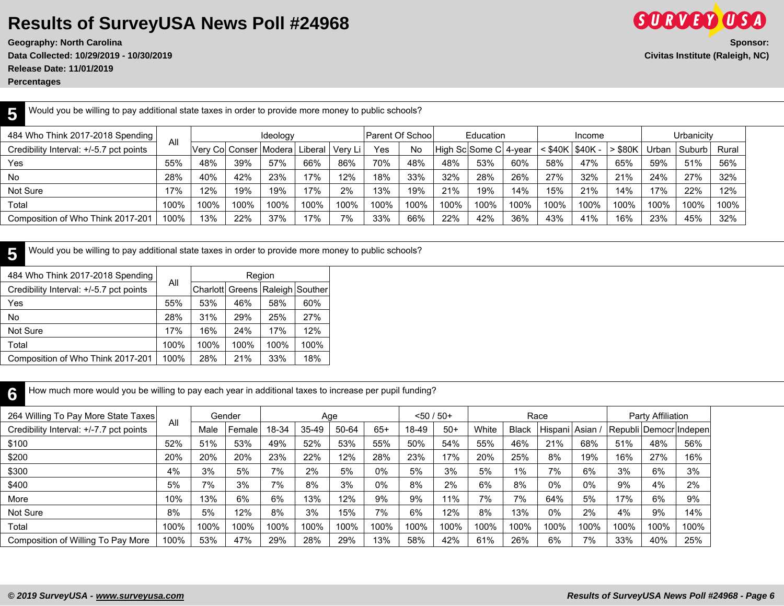**Geography: North Carolina** Sponsor: **Data Collected: 10/29/2019 - 10/30/2019 Civitas Institute (Raleigh, NC) Release Date: 11/01/2019**

|                                  |     | Would you be willing to pay additional state taxes in order to provide more money to public schools? |                  |           |        |            |
|----------------------------------|-----|------------------------------------------------------------------------------------------------------|------------------|-----------|--------|------------|
| 484 Who Think 2017-2018 Spending | ΔIΙ | 'deolog                                                                                              | Parent Of School | Education | Income | Urbanicity |
|                                  |     |                                                                                                      |                  |           |        |            |

| Credibility Interval: +/-5.7 pct points | All  | Verv Col Conser   Modera |      |      | Liberal | 'Very Li . | Yes  | No   | High Sc Some C 4-year |      |      | $<$ \$40K | $$40K -$ | $>$ \$80K | Urban | l Suburb | Rural |
|-----------------------------------------|------|--------------------------|------|------|---------|------------|------|------|-----------------------|------|------|-----------|----------|-----------|-------|----------|-------|
| Yes                                     | 55%  | 48%                      | 39%  | 57%  | 66%     | 86%        | 70%  | 48%  | 48%                   | 53%  | 60%  | 58%       | 47%      | 65%       | 59%   | 51%      | 56%   |
| No                                      | 28%  | 40%                      | 42%  | 23%  | 17%     | 12%        | 18%  | 33%  | 32%                   | 28%  | 26%  | 27%       | 32%      | 21%       | 24%   | 27%      | 32%   |
| Not Sure                                | 17%  | 12%                      | 19%  | 19%  | 17%     | 2%         | 13%  | 19%  | 21%                   | 19%  | 14%  | 15%       | 21%      | 14%       | 17%   | 22%      | 12%   |
| Total                                   | 100% | 100%                     | 100% | 100% | 100%    | 100%       | 100% | 100% | 100%                  | 100% | 100% | 100%      | 100%     | 100%      | 100%  | 100%     | 100%  |
| Composition of Who Think 2017-201       | 100% | 13%                      | 22%  | 37%  | 17%     | 7%         | 33%  | 66%  | 22%                   | 42%  | 36%  | 43%       | 41%      | 16%       | 23%   | 45%      | 32%   |

**5** Would you be willing to pay additional state taxes in order to provide more money to public schools?

| 484 Who Think 2017-2018 Spending        |      |      | Region |      |                                     |
|-----------------------------------------|------|------|--------|------|-------------------------------------|
| Credibility Interval: +/-5.7 pct points | All  |      |        |      | Charlott Greens   Raleigh   Souther |
| Yes                                     | 55%  | 53%  | 46%    | 58%  | 60%                                 |
| No                                      | 28%  | 31%  | 29%    | 25%  | 27%                                 |
| Not Sure                                | 17%  | 16%  | 24%    | 17%  | 12%                                 |
| Total                                   | 100% | 100% | 100%   | 100% | 100%                                |
| Composition of Who Think 2017-201       | 100% | 28%  | 21%    | 33%  | 18%                                 |

**6** How much more would you be willing to pay each year in additional taxes to increase per pupil funding?

| 264 Willing To Pay More State Taxes     | All  |      | Gender |       | Age     |       |       | $< 50 / 50+$ |       |       |              | Race            |      |                        | Party Affiliation |      |
|-----------------------------------------|------|------|--------|-------|---------|-------|-------|--------------|-------|-------|--------------|-----------------|------|------------------------|-------------------|------|
| Credibility Interval: +/-7.7 pct points |      | Male | Female | 18-34 | $35-49$ | 50-64 | $65+$ | 18-49        | $50+$ | White | <b>Black</b> | Hispani   Asian |      | Republi Democr Indepen |                   |      |
| \$100                                   | 52%  | 51%  | 53%    | 49%   | 52%     | 53%   | 55%   | 50%          | 54%   | 55%   | 46%          | 21%             | 68%  | 51%                    | 48%               | 56%  |
| \$200                                   | 20%  | 20%  | 20%    | 23%   | 22%     | 12%   | 28%   | 23%          | 17%   | 20%   | 25%          | 8%              | 19%  | 16%                    | 27%               | 16%  |
| \$300                                   | 4%   | 3%   | 5%     | 7%    | 2%      | 5%    | $0\%$ | 5%           | 3%    | 5%    | $1\%$        | 7%              | 6%   | 3%                     | 6%                | 3%   |
| \$400                                   | 5%   | 7%   | 3%     | 7%    | 8%      | 3%    | $0\%$ | 8%           | 2%    | 6%    | 8%           | 0%              | 0%   | 9%                     | 4%                | 2%   |
| More                                    | 10%  | 13%  | 6%     | 6%    | 13%     | 12%   | 9%    | 9%           | 11%   | 7%    | 7%           | 64%             | 5%   | 17%                    | 6%                | 9%   |
| Not Sure                                | 8%   | 5%   | 12%    | 8%    | 3%      | 15%   | 7%    | 6%           | 12%   | 8%    | 13%          | 0%              | 2%   | 4%                     | 9%                | 14%  |
| Total                                   | 100% | 100% | 100%   | 100%  | 100%    | 100%  | 100%  | 100%         | 100%  | 100%  | 100%         | 100%            | 100% | 100%                   | 100%              | 100% |
| Composition of Willing To Pay More      | 100% | 53%  | 47%    | 29%   | 28%     | 29%   | 13%   | 58%          | 42%   | 61%   | 26%          | 6%              | 7%   | 33%                    | 40%               | 25%  |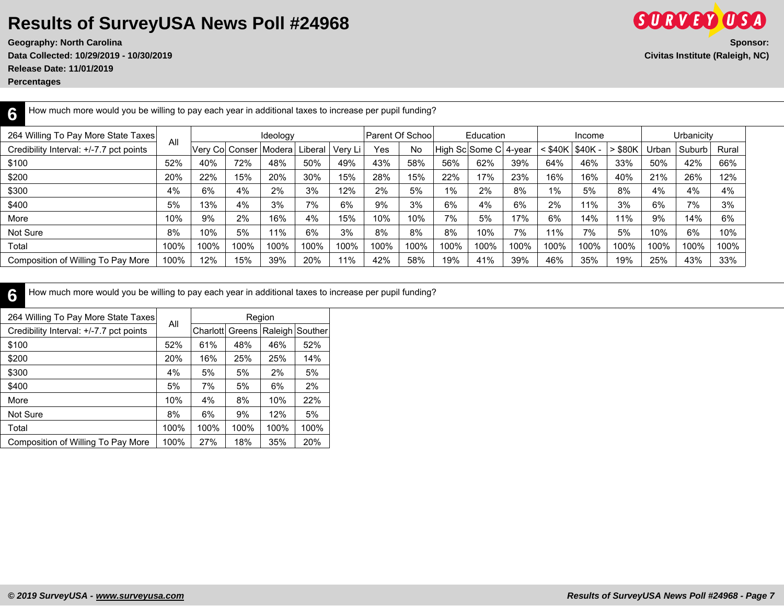**Release Date: 11/01/2019**

**Percentages**

| How much more would you be willing to pay each year in additional taxes to increase per pupil funding?<br>ς |      |                 |      |          |         |         |                         |           |      |                       |      |         |             |       |       |            |       |
|-------------------------------------------------------------------------------------------------------------|------|-----------------|------|----------|---------|---------|-------------------------|-----------|------|-----------------------|------|---------|-------------|-------|-------|------------|-------|
| 264 Willing To Pay More State Taxes                                                                         |      |                 |      | Ideology |         |         | <b>Parent Of School</b> |           |      | Education             |      |         | Income      |       |       | Urbanicity |       |
| Credibility Interval: +/-7.7 pct points                                                                     | All  | Verv Col Conser |      | Modera   | Liberal | Verv Li | Yes                     | <b>No</b> |      | High Sc Some C 4-year |      | < \$40K | $ $ \$40K - | \$80K | Urban | Suburb     | Rural |
| \$100                                                                                                       | 52%  | 40%             | 72%  | 48%      | 50%     | 49%     | 43%                     | 58%       | 56%  | 62%                   | 39%  | 64%     | 46%         | 33%   | 50%   | 42%        | 66%   |
| \$200                                                                                                       | 20%  | 22%             | 15%  | 20%      | 30%     | 15%     | 28%                     | 15%       | 22%  | 17%                   | 23%  | 16%     | 16%         | 40%   | 21%   | 26%        | 12%   |
| \$300                                                                                                       | 4%   | 6%              | 4%   | 2%       | 3%      | 12%     | 2%                      | 5%        | 1%   | 2%                    | 8%   | 1%      | 5%          | 8%    | 4%    | 4%         | 4%    |
| \$400                                                                                                       | 5%   | 13%             | 4%   | 3%       | 7%      | 6%      | 9%                      | 3%        | 6%   | 4%                    | 6%   | 2%      | 11%         | 3%    | 6%    | 7%         | 3%    |
| More                                                                                                        | 10%  | 9%              | 2%   | 16%      | 4%      | 15%     | 10%                     | 10%       | 7%   | 5%                    | 17%  | 6%      | 14%         | 11%   | 9%    | 14%        | 6%    |
| Not Sure                                                                                                    | 8%   | 10%             | 5%   | 11%      | 6%      | 3%      | 8%                      | 8%        | 8%   | 10%                   | 7%   | 11%     | 7%          | 5%    | 10%   | 6%         | 10%   |
| Total                                                                                                       | 100% | 100%            | 100% | 100%     | 100%    | 100%    | 100%                    | 100%      | 100% | 100%                  | 100% | 100%    | 100%        | 100%  | 100%  | 100%       | 100%  |
| Composition of Willing To Pay More                                                                          | 100% | 12%             | 15%  | 39%      | 20%     | 11%     | 42%                     | 58%       | 19%  | 41%                   | 39%  | 46%     | 35%         | 19%   | 25%   | 43%        | 33%   |

**6** How much more would you be willing to pay each year in additional taxes to increase per pupil funding?

| 264 Willing To Pay More State Taxes     |      |                 |      | Region |                 |
|-----------------------------------------|------|-----------------|------|--------|-----------------|
| Credibility Interval: +/-7.7 pct points | All  | Charlott Greens |      |        | Raleigh Souther |
| \$100                                   | 52%  | 61%             | 48%  | 46%    | 52%             |
| \$200                                   | 20%  | 16%             | 25%  | 25%    | 14%             |
| \$300                                   | 4%   | 5%              | 5%   | 2%     | 5%              |
| \$400                                   | 5%   | 7%              | 5%   | 6%     | 2%              |
| More                                    | 10%  | 4%              | 8%   | 10%    | 22%             |
| Not Sure                                | 8%   | 6%              | 9%   | 12%    | 5%              |
| Total                                   | 100% | 100%            | 100% | 100%   | 100%            |
| Composition of Willing To Pay More      | 100% | 27%             | 18%  | 35%    | 20%             |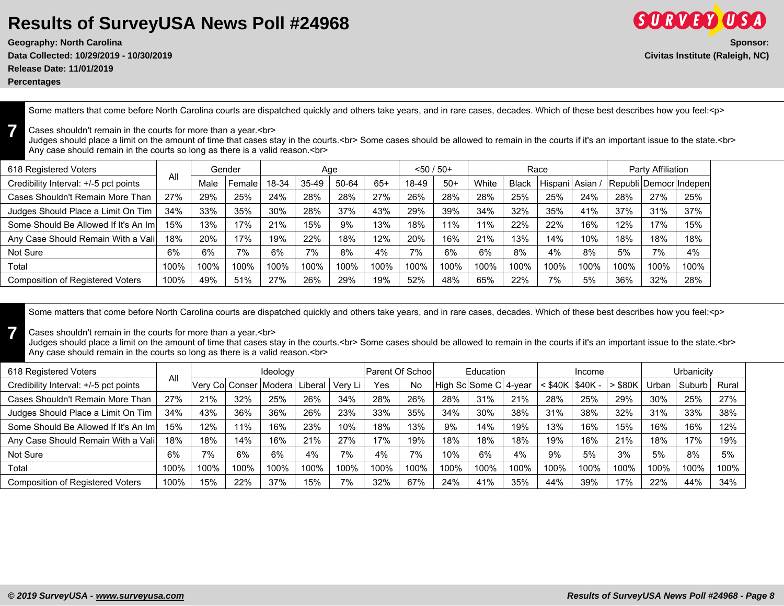**Geography: North Carolina Sponsor: Data Collected: 10/29/2019 - 10/30/2019 Civitas Institute (Raleigh, NC)**

**Release Date: 11/01/2019**

**Percentages**

**7**

**7**

Some matters that come before North Carolina courts are dispatched quickly and others take years, and in rare cases, decades. Which of these best describes how you feel:<p>

#### Cases shouldn't remain in the courts for more than a year.<br>

Judges should place a limit on the amount of time that cases stay in the courts.<br> Some cases should be allowed to remain in the courts if it's an important issue to the state.<br> Any case should remain in the courts so long as there is a valid reason.<br>

| 618 Registered Voters                   |      |      | Gender |       |         | Age   |       | $< 50 / 50+$ |       |       |       | Race            |      |      | Party Affiliation |                          |
|-----------------------------------------|------|------|--------|-------|---------|-------|-------|--------------|-------|-------|-------|-----------------|------|------|-------------------|--------------------------|
| Credibility Interval: +/-5 pct points   | All  | Male | Female | 18-34 | $35-49$ | 50-64 | $65+$ | 18-49        | $50+$ | White | Black | Hispani   Asian |      |      |                   | Republi Democr   Indepen |
| Cases Shouldn't Remain More Than        | 27%  | 29%  | 25%    | 24%   | 28%     | 28%   | 27%   | 26%          | 28%   | 28%   | 25%   | 25%             | 24%  | 28%  | 27%               | 25%                      |
| Judges Should Place a Limit On Tim      | 34%  | 33%  | 35%    | 30%   | 28%     | 37%   | 43%   | 29%          | 39%   | 34%   | 32%   | 35%             | 41%  | 37%  | 31%               | 37%                      |
| Some Should Be Allowed If It's An Im    | 15%  | 13%  | `7%    | 21%   | 15%     | 9%    | 13%   | 18%          | 11%   | 11%   | 22%   | 22%             | 16%  | 12%  | 17%               | 15%                      |
| Any Case Should Remain With a Vali      | 18%  | 20%  | '7%    | 19%   | 22%     | 18%   | 12%   | 20%          | 16%   | 21%   | 13%   | 14%             | 10%  | 18%  | 18%               | 18%                      |
| Not Sure                                | 6%   | 6%   | 7%     | 6%    | 7%      | 8%    | 4%    | 7%           | 6%    | 6%    | 8%    | 4%              | 8%   | 5%   | 7%                | 4%                       |
| Total                                   | 100% | 100% | 100%   | 100%  | 100%    | 100%  | 100%  | 100%         | 100%  | 100%  | 100%  | 100%            | 100% | 100% | 100%              | 100%                     |
| <b>Composition of Registered Voters</b> | 100% | 49%  | 51%    | 27%   | 26%     | 29%   | 19%   | 52%          | 48%   | 65%   | 22%   | 7%              | 5%   | 36%  | 32%               | 28%                      |

Some matters that come before North Carolina courts are dispatched quickly and others take years, and in rare cases, decades. Which of these best describes how you feel:<p>

#### Cases shouldn't remain in the courts for more than a year.<br>

Judges should place a limit on the amount of time that cases stay in the courts.<br> Some cases should be allowed to remain in the courts if it's an important issue to the state.<br> Any case should remain in the courts so long as there is a valid reason.<br>

| 618 Registered Voters                   | All  |      |                 | Ideology |         |         | Parent Of School |      |                       | Education |      |                   | Income  |       |       | Urbanicity |       |
|-----------------------------------------|------|------|-----------------|----------|---------|---------|------------------|------|-----------------------|-----------|------|-------------------|---------|-------|-------|------------|-------|
| Credibility Interval: +/-5 pct points   |      |      | Verv Col Conser | Modera   | ∟iberal | Verv Li | Yes              | No   | High Sc Some C 4-year |           |      | $<$ \$40K $\vert$ | \$40K - | \$80K | Jrban | Suburb     | Rural |
| Cases Shouldn't Remain More Than        | 27%  | 21%  | 32%             | 25%      | 26%     | 34%     | 28%              | 26%  | 28%                   | 31%       | 21%  | 28%               | 25%     | 29%   | 30%   | 25%        | 27%   |
| Judges Should Place a Limit On Tim      | 34%  | 43%  | 36%             | 36%      | 26%     | 23%     | 33%              | 35%  | 34%                   | 30%       | 38%  | 31%               | 38%     | 32%   | 31%   | 33%        | 38%   |
| Some Should Be Allowed If It's An Im    | 15%  | 12%  | 11%             | 16%      | 23%     | 10%     | 18%              | 13%  | 9%                    | 14%       | 19%  | 13%               | 16%     | 15%   | 16%   | 16%        | 12%   |
| Any Case Should Remain With a Vali      | 18%  | 18%  | 14%             | 16%      | 21%     | 27%     | 17%              | 19%  | 18%                   | 18%       | 18%  | 19%               | 16%     | 21%   | 18%   | 17%        | 19%   |
| Not Sure                                | 6%   | 7%   | 6%              | 6%       | 4%      | 7%      | 4%               | 7%   | 10%                   | 6%        | 4%   | 9%                | 5%      | 3%    | 5%    | 8%         | 5%    |
| Total                                   | 100% | 100% | 100%            | 100%     | 100%    | 100%    | 100%             | 100% | 100%                  | 100%      | 100% | 100%              | 100%    | 100%  | 100%  | 100%       | 100%  |
| <b>Composition of Registered Voters</b> | 100% | 15%  | 22%             | 37%      | 15%     | 7%      | 32%              | 67%  | 24%                   | 41%       | 35%  | 44%               | 39%     | 17%   | 22%   | 44%        | 34%   |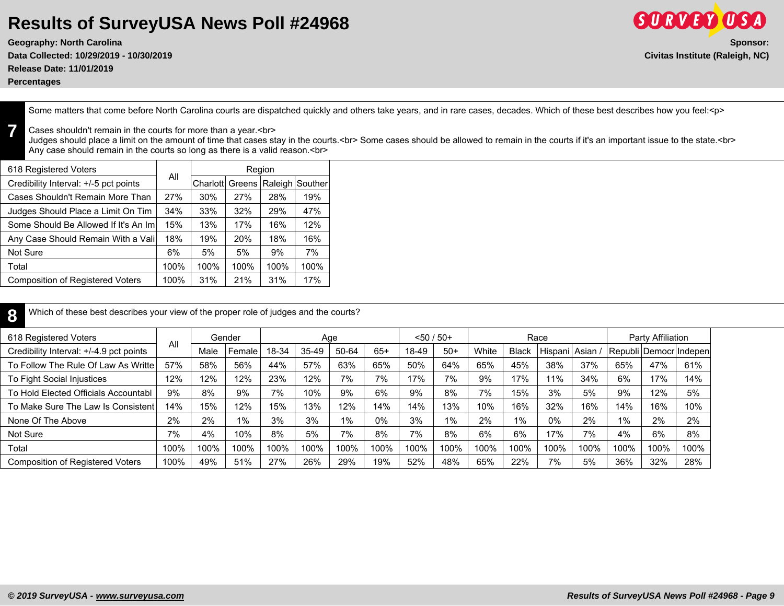**Geography: North Carolina Sponsor: Data Collected: 10/29/2019 - 10/30/2019 Civitas Institute (Raleigh, NC) Release Date: 11/01/2019**

**Percentages**

**7**

**8**

Some matters that come before North Carolina courts are dispatched quickly and others take years, and in rare cases, decades. Which of these best describes how you feel:<p>

#### Cases shouldn't remain in the courts for more than a year.<br>

Judges should place a limit on the amount of time that cases stay in the courts.<br> Some cases should be allowed to remain in the courts if it's an important issue to the state.<br> Any case should remain in the courts so long as there is a valid reason.<br>

| 618 Registered Voters                   | All  |                  |      | Region |                 |
|-----------------------------------------|------|------------------|------|--------|-----------------|
| Credibility Interval: +/-5 pct points   |      | Charlott  Greens |      |        | Raleigh Souther |
| Cases Shouldn't Remain More Than        | 27%  | 30%              | 27%  | 28%    | 19%             |
| Judges Should Place a Limit On Tim      | 34%  | 33%              | 32%  | 29%    | 47%             |
| Some Should Be Allowed If It's An Iml   | 15%  | 13%              | 17%  | 16%    | 12%             |
| Any Case Should Remain With a Vali      | 18%  | 19%              | 20%  | 18%    | 16%             |
| Not Sure                                | 6%   | 5%               | 5%   | 9%     | 7%              |
| Total                                   | 100% | 100%             | 100% | 100%   | 100%            |
| <b>Composition of Registered Voters</b> | 100% | 31%              | 21%  | 31%    | 17%             |

Which of these best describes your view of the proper role of judges and the courts?

| 618 Registered Voters                   |      |      | Gender |       |       | Age   |       |       | $< 50 / 50+$ |       |              | Race          |      |       | Party Affiliation |                         |
|-----------------------------------------|------|------|--------|-------|-------|-------|-------|-------|--------------|-------|--------------|---------------|------|-------|-------------------|-------------------------|
| Credibility Interval: +/-4.9 pct points | All  | Male | Female | 18-34 | 35-49 | 50-64 | $65+$ | 18-49 | $50+$        | White | <b>Black</b> | Hispani Asian |      |       |                   | Republi Democr Indepenl |
| To Follow The Rule Of Law As Writte     | 57%  | 58%  | 56%    | 44%   | 57%   | 63%   | 65%   | 50%   | 64%          | 65%   | 45%          | 38%           | 37%  | 65%   | 47%               | 61%                     |
| To Fight Social Injustices              | 12%  | 12%  | 12%    | 23%   | 12%   | 7%    | 7%    | 17%   | 7%           | 9%    | 17%          | 11%           | 34%  | 6%    | 17%               | 14%                     |
| To Hold Elected Officials Accountabl    | 9%   | 8%   | 9%     | 7%    | 10%   | 9%    | 6%    | 9%    | 8%           | 7%    | 15%          | 3%            | 5%   | 9%    | 12%               | 5%                      |
| To Make Sure The Law Is Consistent      | 14%  | 15%  | 12%    | 15%   | 13%   | 12%   | 14%   | 14%   | 13%          | 10%   | 16%          | 32%           | 16%  | 14%   | 16%               | 10%                     |
| None Of The Above                       | 2%   | 2%   | $1\%$  | 3%    | 3%    | 1%    | 0%    | 3%    | $1\%$        | 2%    | $1\%$        | 0%            | 2%   | $1\%$ | 2%                | 2%                      |
| Not Sure                                | 7%   | 4%   | 10%    | 8%    | 5%    | 7%    | 8%    | 7%    | 8%           | 6%    | 6%           | 17%           | 7%   | 4%    | 6%                | 8%                      |
| Total                                   | 100% | 100% | 100%   | 100%  | 100%  | 100%  | 100%  | 100%  | 100%         | 100%  | 100%         | 100%          | 100% | 100%  | 100%              | 100%                    |
| <b>Composition of Registered Voters</b> | 100% | 49%  | 51%    | 27%   | 26%   | 29%   | 19%   | 52%   | 48%          | 65%   | 22%          | 7%            | 5%   | 36%   | 32%               | 28%                     |

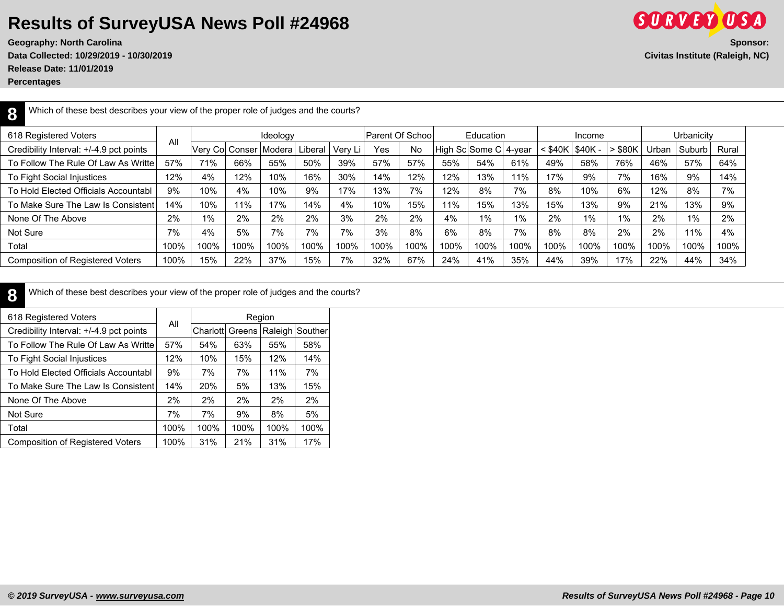**Release Date: 11/01/2019**

**Percentages**

**SURVEY USA Geography: North Carolina** Sponsor: Sponsor: Sponsor: Sponsor: Sponsor: Sponsor: Sponsor: Sponsor: Sponsor: Sponsor: Sponsor: Sponsor: Sponsor: Sponsor: Sponsor: Sponsor: Sponsor: Sponsor: Sponsor: Sponsor: Sponsor: Spons **Data Collected: 10/29/2019 - 10/30/2019 Civitas Institute (Raleigh, NC)**

**8** Which of these best describes your view of the proper role of judges and the courts?

| 618 Registered Voters                   |      |       |      | Ideology                 |         |         | Parent Of School |      |      | Education             |      |              | Income   |       |              | Urbanicity |       |
|-----------------------------------------|------|-------|------|--------------------------|---------|---------|------------------|------|------|-----------------------|------|--------------|----------|-------|--------------|------------|-------|
| Credibility Interval: +/-4.9 pct points | All  |       |      | Verv Col Conser   Modera | Liberal | Very Li | Yes              | No   |      | High Sc Some C 4-year |      | $<$ \$40 $k$ | $$40K -$ | \$80K | <b>Jrban</b> | Suburb     | Rural |
| To Follow The Rule Of Law As Writte     | 57%  | 71%   | 66%  | 55%                      | 50%     | 39%     | 57%              | 57%  | 55%  | 54%                   | 61%  | 49%          | 58%      | 76%   | 46%          | 57%        | 64%   |
| To Fight Social Injustices              | 12%  | 4%    | 12%  | 10%                      | 16%     | 30%     | 14%              | 12%  | 12%  | 13%                   | 11%  | 17%          | 9%       | 7%    | 16%          | 9%         | 14%   |
| To Hold Elected Officials Accountabl    | 9%   | 10%   | 4%   | 10%                      | 9%      | 17%     | 13%              | 7%   | 12%  | 8%                    | 7%   | 8%           | 10%      | 6%    | 12%          | 8%         | 7%    |
| To Make Sure The Law Is Consistent      | 14%  | 10%   | 11%  | 17%                      | 14%     | 4%      | 10%              | 15%  | 11%  | 15%                   | 13%  | 15%          | 13%      | 9%    | 21%          | 13%        | 9%    |
| None Of The Above                       | 2%   | $1\%$ | 2%   | 2%                       | 2%      | 3%      | 2%               | 2%   | 4%   | $1\%$                 | 1%   | 2%           | 1%       | 1%    | 2%           | 1%         | 2%    |
| Not Sure                                | 7%   | 4%    | 5%   | 7%                       | 7%      | 7%      | 3%               | 8%   | 6%   | 8%                    | 7%   | 8%           | 8%       | 2%    | 2%           | 11%        | 4%    |
| Total                                   | 100% | 100%  | 100% | 100%                     | 100%    | 100%    | 100%             | 100% | 100% | 100%                  | 100% | 100%         | 100%     | 100%  | 100%         | 100%       | 100%  |
| <b>Composition of Registered Voters</b> | 100% | 15%   | 22%  | 37%                      | 15%     | 7%      | 32%              | 67%  | 24%  | 41%                   | 35%  | 44%          | 39%      | 17%   | 22%          | 44%        | 34%   |

**8** Which of these best describes your view of the proper role of judges and the courts?

| 618 Registered Voters                   |      |          |        | Region |                 |
|-----------------------------------------|------|----------|--------|--------|-----------------|
| Credibility Interval: +/-4.9 pct points | All  | Charlott | Greens |        | Raleigh Souther |
| To Follow The Rule Of Law As Writte     | 57%  | 54%      | 63%    | 55%    | 58%             |
| To Fight Social Injustices              | 12%  | 10%      | 15%    | 12%    | 14%             |
| To Hold Elected Officials Accountabl    | 9%   | 7%       | 7%     | 11%    | 7%              |
| To Make Sure The Law Is Consistent      | 14%  | 20%      | 5%     | 13%    | 15%             |
| None Of The Above                       | 2%   | 2%       | 2%     | 2%     | 2%              |
| Not Sure                                | 7%   | 7%       | 9%     | 8%     | 5%              |
| Total                                   | 100% | 100%     | 100%   | 100%   | 100%            |
| <b>Composition of Registered Voters</b> | 100% | 31%      | 21%    | 31%    | 17%             |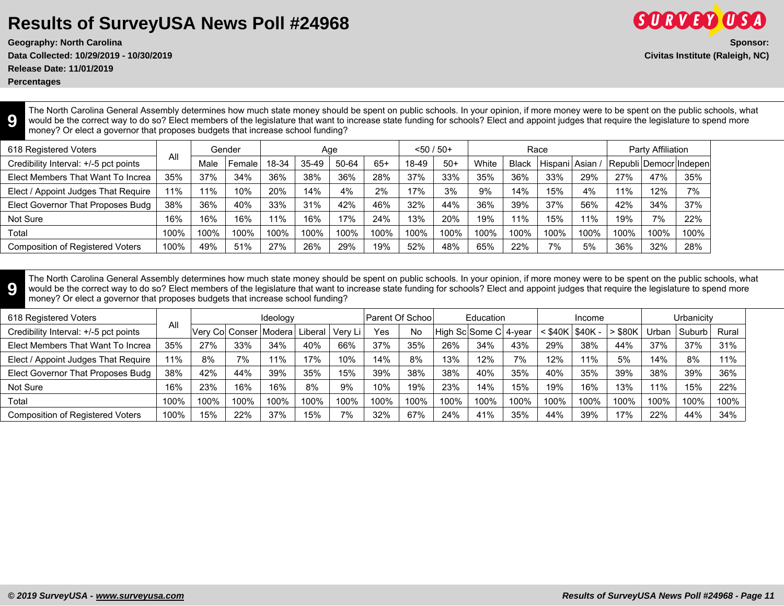**Data Collected: 10/29/2019 - 10/30/2019 Civitas Institute (Raleigh, NC)**

**Release Date: 11/01/2019**

**Percentages**

**9**

The North Carolina General Assembly determines how much state money should be spent on public schools. In your opinion, if more money were to be spent on the public schools, what would be the correct way to do so? Elect members of the legislature that want to increase state funding for schools? Elect and appoint judges that require the legislature to spend more money? Or elect a governor that proposes budgets that increase school funding?

| 618 Registered Voters                   |      |      | Gender |       | Age       |       |       | $< 50 / 50+$ |       |       |              | Race            |      |      | Party Affiliation |                        |
|-----------------------------------------|------|------|--------|-------|-----------|-------|-------|--------------|-------|-------|--------------|-----------------|------|------|-------------------|------------------------|
| Credibility Interval: +/-5 pct points   | All  | Male | Female | 18-34 | $35 - 49$ | 50-64 | $65+$ | 18-49        | $50+$ | White | <b>Black</b> | Hispani   Asian |      |      |                   | Republi Democr Indepen |
| Elect Members That Want To Increa       | 35%  | 37%  | 34%    | 36%   | 38%       | 36%   | 28%   | 37%          | 33%   | 35%   | 36%          | 33%             | 29%  | 27%  | 47%               | 35%                    |
| Elect / Appoint Judges That Require     | 1%   | 11%  | 10%    | 20%   | 14%       | 4%    | 2%    | 17%          | 3%    | 9%    | 14%          | 15%             | 4%   | 11%  | 12%               | 7%                     |
| Elect Governor That Proposes Budg       | 38%  | 36%  | 40%    | 33%   | 31%       | 42%   | 46%   | 32%          | 44%   | 36%   | 39%          | 37%             | 56%  | 42%  | 34%               | 37%                    |
| Not Sure                                | 16%  | 16%  | 16%    | 11%   | 16%       | 17%   | 24%   | 13%          | 20%   | 19%   | 11%          | 15%             | 11%  | 19%  | 7%                | 22%                    |
| Total                                   | 100% | 100% | 100%   | 100%  | 100%      | 100%  | 100%  | 100%         | 100%  | 100%  | 100%         | 100%            | 100% | 100% | 100%              | 100%                   |
| <b>Composition of Registered Voters</b> | 100% | 49%  | 51%    | 27%   | 26%       | 29%   | 19%   | 52%          | 48%   | 65%   | 22%          | 7%              | 5%   | 36%  | 32%               | 28%                    |

**9** The North Carolina General Assembly determines how much state money should be spent on public schools. In your opinion, if more money were to be spent on the public schools, what would be the correct way to do so? Elect members of the legislature that want to increase state funding for schools? Elect and appoint judges that require the legislature to spend more money? Or elect a governor that proposes budgets that increase school funding?

| 618 Registered Voters                   |      |      |      | Ideology                           |      |         |      | <b>Parent Of School</b> |      | Education             |      |      | Income           |               |       | Urbanicitv |       |
|-----------------------------------------|------|------|------|------------------------------------|------|---------|------|-------------------------|------|-----------------------|------|------|------------------|---------------|-------|------------|-------|
| Credibility Interval: +/-5 pct points   | All  |      |      | Verv Col Conser   Modera   Liberal |      | Verv Li | Yes  | No                      |      | High Sc Some C 4-year |      |      | :\$40K   \$40K - | $\cdot$ \$80K | Urban | l Suburb   | Rural |
| Elect Members That Want To Increa       | 35%  | 27%  | 33%  | 34%                                | 40%  | 66%     | 37%  | 35%                     | 26%  | 34%                   | 43%  | 29%  | 38%              | 44%           | 37%   | 37%        | 31%   |
| Elect / Appoint Judges That Require     | 11%  | 8%   | 7%   | 11%                                | 17%  | 10%     | 14%  | 8%                      | 13%  | 12%                   | 7%   | 12%  | 11%              | 5%            | 14%   | 8%         | 11%   |
| Elect Governor That Proposes Budg       | 38%  | 42%  | 44%  | 39%                                | 35%  | 15%     | 39%  | 38%                     | 38%  | 40%                   | 35%  | 40%  | 35%              | 39%           | 38%   | 39%        | 36%   |
| Not Sure                                | 16%  | 23%  | 16%  | 16%                                | 8%   | 9%      | 10%  | 19%                     | 23%  | 14%                   | 15%  | 19%  | 16%              | 13%           | 11%   | 15%        | 22%   |
| Total                                   | 100% | 100% | 100% | 100%                               | 100% | 100%    | 100% | 100%                    | 100% | 100%                  | 100% | 100% | 100%             | 100%          | 100%  | 100%       | 100%  |
| <b>Composition of Registered Voters</b> | 100% | 15%  | 22%  | 37%                                | 15%  | 7%      | 32%  | 67%                     | 24%  | 41%                   | 35%  | 44%  | 39%              | 17%           | 22%   | 44%        | 34%   |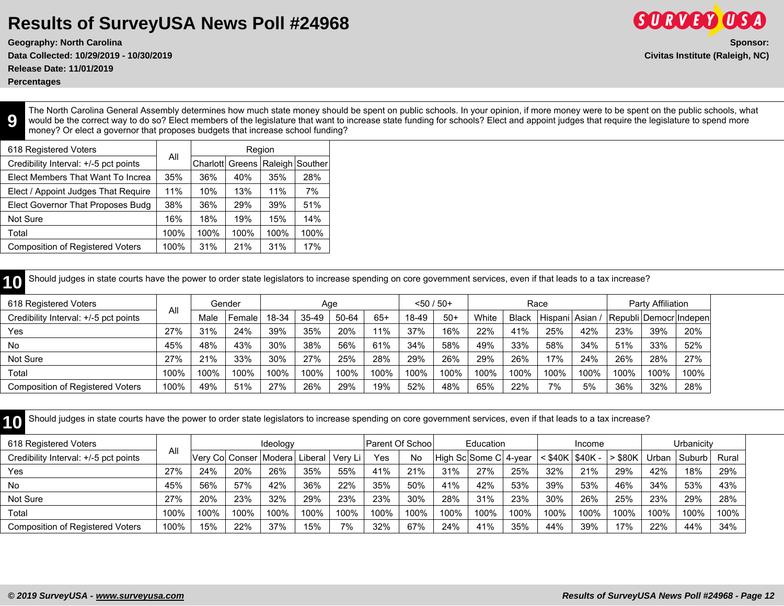**Release Date: 11/01/2019**

**Percentages**

**9**

The North Carolina General Assembly determines how much state money should be spent on public schools. In your opinion, if more money were to be spent on the public schools, what would be the correct way to do so? Elect members of the legislature that want to increase state funding for schools? Elect and appoint judges that require the legislature to spend more money? Or elect a governor that proposes budgets that increase school funding?

| 618 Registered Voters                   |      |          | Region |      |                 |
|-----------------------------------------|------|----------|--------|------|-----------------|
| Credibility Interval: +/-5 pct points   | All  | Charlott | Greens |      | Raleigh Souther |
| Elect Members That Want To Increa       | 35%  | 36%      | 40%    | 35%  | 28%             |
| Elect / Appoint Judges That Require     | 11%  | 10%      | 13%    | 11%  | 7%              |
| Elect Governor That Proposes Budg       | 38%  | 36%      | 29%    | 39%  | 51%             |
| Not Sure                                | 16%  | 18%      | 19%    | 15%  | 14%             |
| Total                                   | 100% | 100%     | 100%   | 100% | 100%            |
| <b>Composition of Registered Voters</b> | 100% | 31%      | 21%    | 31%  | 17%             |

**10** Should judges in state courts have the power to order state legislators to increase spending on core government services, even if that leads to a tax increase?

| 618 Registered Voters                 |      |      | Gender |       | Aqe     |       |       | $< 50 / 50 +$ |       |       |              | Race          |      |      | Party Affiliation |                         |
|---------------------------------------|------|------|--------|-------|---------|-------|-------|---------------|-------|-------|--------------|---------------|------|------|-------------------|-------------------------|
| Credibility Interval: +/-5 pct points | Al   | Male | Female | 18-34 | $35-49$ | 50-64 | $65+$ | 18-49         | $50+$ | White | <b>Black</b> | Hispani Asian |      |      |                   | Republi Democr Indepent |
| Yes                                   | 27%  | 31%  | 24%    | 39%   | 35%     | 20%   | 11%   | 37%           | 16%   | 22%   | 41%          | 25%           | 42%  | 23%  | 39%               | 20%                     |
| No                                    | 45%  | 48%  | 43%    | 30%   | 38%     | 56%   | 61%   | 34%           | 58%   | 49%   | 33%          | 58%           | 34%  | 51%  | 33%               | 52%                     |
| Not Sure                              | 27%  | 21%  | 33%    | 30%   | 27%     | 25%   | 28%   | 29%           | 26%   | 29%   | 26%          | 17%           | 24%  | 26%  | 28%               | 27%                     |
| Total                                 | 100% | 100% | 100%   | 100%  | 100%    | 100%  | 100%  | 100%          | 100%  | 100%  | 100%         | 100%          | 100% | 100% | 100%              | 100%                    |
| Composition of Registered Voters      | 100% | 49%  | 51%    | 27%   | 26%     | 29%   | 19%   | 52%           | 48%   | 65%   | 22%          | 7%            | 5%   | 36%  | 32%               | 28%                     |

**10** Should judges in state courts have the power to order state legislators to increase spending on core government services, even if that leads to a tax increase?

| 618 Registered Voters                   |      |      |      | Ideology                 |         |         | <b>Parent Of School</b> |           |      | <b>Education</b>      |      |                           | Income |       |       | Urbanicitv |       |  |
|-----------------------------------------|------|------|------|--------------------------|---------|---------|-------------------------|-----------|------|-----------------------|------|---------------------------|--------|-------|-------|------------|-------|--|
| Credibility Interval: +/-5 pct points   | All  |      |      | Verv Col Conser   Modera | Liberal | Verv Li | Yes                     | <b>No</b> |      | High Sc Some C 4-year |      | $<$ \$40K $\sqrt{340K}$ - |        | \$80K | Jrban | Suburb     | Rural |  |
| Yes                                     | 27%  | 24%  | 20%  | 26%                      | 35%     | 55%     | 41%                     | 21%       | 31%  | 27%                   | 25%  | 32%                       | 21%    | 29%   | 42%   | 18%        | 29%   |  |
| No                                      | 45%  | 56%  | 57%  | 42%                      | 36%     | 22%     | 35%                     | 50%       | 41%  | 42%                   | 53%  | 39%                       | 53%    | 46%   | 34%   | 53%        | 43%   |  |
| Not Sure                                | 27%  | 20%  | 23%  | 32%                      | 29%     | 23%     | 23%                     | $30\%$    | 28%  | 31%                   | 23%  | 30%                       | 26%    | 25%   | 23%   | 29%        | 28%   |  |
| Total                                   | 100% | 100% | 100% | 100%                     | 100%    | 100%    | 100%                    | 100%      | 100% | 100%                  | 100% | 100%                      | 100%   | 100%  | 100%  | 100%       | 100%  |  |
| <b>Composition of Registered Voters</b> | 100% | 15%  | 22%  | 37%                      | 15%     | 7%      | 32%                     | 67%       | 24%  | 41%                   | 35%  | 44%                       | 39%    | 17%   | 22%   | 44%        | 34%   |  |

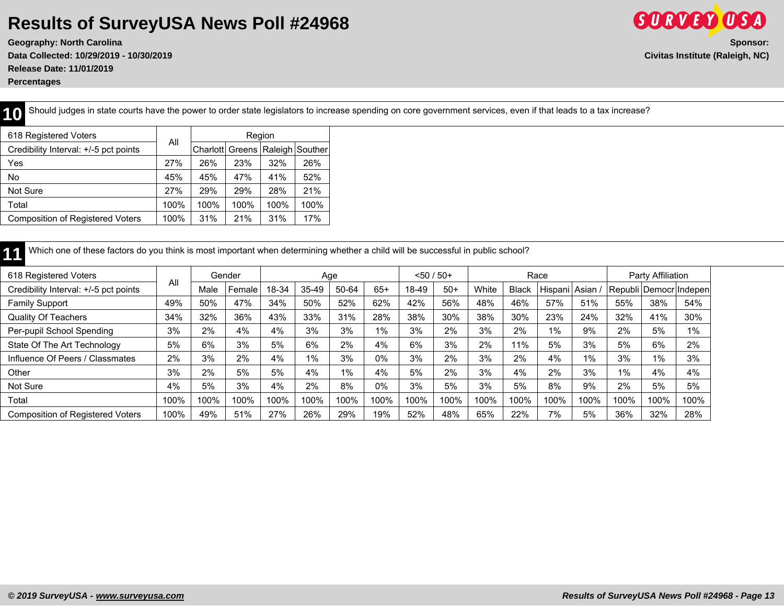**Geography: North Carolina Sponsor: Data Collected: 10/29/2019 - 10/30/2019 Civitas Institute (Raleigh, NC) Release Date: 11/01/2019 Percentages**

**10** Should judges in state courts have the power to order state legislators to increase spending on core government services, even if that leads to a tax increase?

| 618 Registered Voters                   |      |                 | Region |                 |      |
|-----------------------------------------|------|-----------------|--------|-----------------|------|
| Credibility Interval: +/-5 pct points   | All  | Charlott Greens |        | Raleigh Souther |      |
| Yes                                     | 27%  | 26%             | 23%    | 32%             | 26%  |
| No                                      | 45%  | 45%             | 47%    | 41%             | 52%  |
| Not Sure                                | 27%  | 29%             | 29%    | 28%             | 21%  |
| Total                                   | 100% | 100%            | 100%   | 100%            | 100% |
| <b>Composition of Registered Voters</b> | 100% | 31%             | 21%    | 31%             | 17%  |
|                                         |      |                 |        |                 |      |

| Which one of these factors do you think is most important when determining whether a child will be successful in public school? |     |      |        |       |       |       |       |              |       |       |              |                 |     |     |                        |     |
|---------------------------------------------------------------------------------------------------------------------------------|-----|------|--------|-------|-------|-------|-------|--------------|-------|-------|--------------|-----------------|-----|-----|------------------------|-----|
| 618 Registered Voters                                                                                                           | All |      | Gender |       |       | Age   |       | $< 50 / 50+$ |       |       |              | Race            |     |     | Party Affiliation      |     |
| Credibility Interval: +/-5 pct points                                                                                           |     | Male | Female | 18-34 | 35-49 | 50-64 | $65+$ | 18-49        | $50+$ | White | <b>Black</b> | Hispani Asian / |     |     | Republi Democr Indepen |     |
| <b>Family Support</b>                                                                                                           | 49% | 50%  | 47%    | 34%   | 50%   | 52%   | 62%   | 42%          | 56%   | 48%   | 46%          | 57%             | 51% | 55% | 38%                    | 54% |
| <b>Quality Of Teachers</b>                                                                                                      | 34% | 32%  | 36%    | 43%   | 33%   | 31%   | 28%   | 38%          | 30%   | 38%   | 30%          | 23%             | 24% | 32% | 41%                    | 30% |
| Per-pupil School Spending                                                                                                       | 3%  | 2%   | 4%     | 4%    | 3%    | 3%    | $1\%$ | 3%           | 2%    | 3%    | 2%           | 1%              | 9%  | 2%  | 5%                     | 1%  |
| State Of The Art Technology                                                                                                     | 5%  | 6%   | 3%     | 5%    | 6%    | 2%    | 4%    | 6%           | 3%    | 2%    | 11%          | 5%              | 3%  | 5%  | 6%                     | 2%  |
| Influence Of Peers / Classmates                                                                                                 | 2%  | 3%   | 2%     | 4%    | 1%    | 3%    | $0\%$ | 3%           | 2%    | 3%    | 2%           | 4%              | 1%  | 3%  | 1%                     | 3%  |

Other 3% 2% 5% 5% 4% 1% 4% 5% 2% 3% 4% 2% 3% 1% 4% 4% Not Sure | 4% | 5% | 3% | 4% | 2% | 8% | 0% | 3% | 5% | 3% | 8% | 9% | 2% | 5% | 5% Total | 100% | 100% | 100% | 100% | 100% | 100% | 100% | 100% | 100% | 100% | 100% | 100% | 100% | 100% | 100% | 100% | 100% | 100% | 100% | 100% | 100% | 100% | 100% | 100% | 100% | 100% | Composition of Registered Voters | 100% | 49% | 51% | 27% | 26% | 29% | 19% | 52% | 48% | 65% | 22% | 7% | 5% | 36% | 32% | 28%

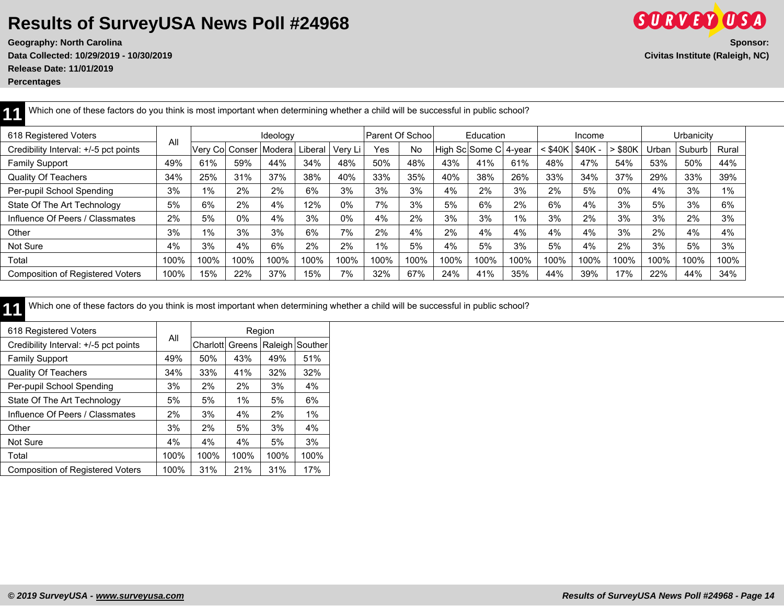**Geography: North Carolina Sponsor: Data Collected: 10/29/2019 - 10/30/2019 Civitas Institute (Raleigh, NC) Release Date: 11/01/2019**

**Percentages**

| 618 Registered Voters                   |      |       |                          | Ideology |         |         | Parent Of Schoo |           |      | Education             |      |      | Income          |       |       | Urbanicity |       |
|-----------------------------------------|------|-------|--------------------------|----------|---------|---------|-----------------|-----------|------|-----------------------|------|------|-----------------|-------|-------|------------|-------|
| Credibility Interval: +/-5 pct points   | All  |       | Very Col Conser   Modera |          | .iberal | Very Li | Yes             | <b>No</b> |      | High Sc Some C 4-year |      |      | \$40K   \$40K - | \$80K | Jrban | Suburb     | Rural |
| <b>Family Support</b>                   | 49%  | 61%   | 59%                      | 44%      | 34%     | 48%     | 50%             | 48%       | 43%  | 41%                   | 61%  | 48%  | 47%             | 54%   | 53%   | 50%        | 44%   |
| <b>Quality Of Teachers</b>              | 34%  | 25%   | 31%                      | 37%      | 38%     | 40%     | 33%             | 35%       | 40%  | 38%                   | 26%  | 33%  | 34%             | 37%   | 29%   | 33%        | 39%   |
| Per-pupil School Spending               | 3%   | $1\%$ | 2%                       | 2%       | 6%      | 3%      | 3%              | 3%        | 4%   | 2%                    | 3%   | 2%   | 5%              | 0%    | 4%    | 3%         | $1\%$ |
| State Of The Art Technology             | 5%   | 6%    | 2%                       | 4%       | 12%     | 0%      | 7%              | 3%        | 5%   | 6%                    | 2%   | 6%   | 4%              | 3%    | 5%    | 3%         | 6%    |
| Influence Of Peers / Classmates         | 2%   | 5%    | 0%                       | 4%       | 3%      | 0%      | 4%              | 2%        | 3%   | 3%                    | 1%   | 3%   | 2%              | 3%    | 3%    | 2%         | 3%    |
| Other                                   | 3%   | $1\%$ | 3%                       | 3%       | 6%      | 7%      | 2%              | 4%        | 2%   | 4%                    | 4%   | 4%   | 4%              | 3%    | 2%    | 4%         | 4%    |
| Not Sure                                | 4%   | 3%    | 4%                       | 6%       | 2%      | 2%      | $1\%$           | 5%        | 4%   | 5%                    | 3%   | 5%   | 4%              | 2%    | 3%    | 5%         | 3%    |
| Total                                   | 100% | 100%  | 100%                     | 100%     | 100%    | 100%    | 100%            | 100%      | 100% | 100%                  | 100% | 100% | 100%            | 100%  | 100%  | 100%       | 100%  |
| <b>Composition of Registered Voters</b> | 100% | 15%   | 22%                      | 37%      | 15%     | 7%      | 32%             | 67%       | 24%  | 41%                   | 35%  | 44%  | 39%             | 17%   | 22%   | 44%        | 34%   |

**11** Which one of these factors do you think is most important when determining whether a child will be successful in public school?

11 Which one of these factors do you think is most important when determining whether a child will be successful in public school?

| 618 Registered Voters                   |      |                 |      | Region  |         |
|-----------------------------------------|------|-----------------|------|---------|---------|
| Credibility Interval: +/-5 pct points   | All  | Charlott Greens |      | Raleigh | Souther |
| <b>Family Support</b>                   | 49%  | 50%             | 43%  | 49%     | 51%     |
| <b>Quality Of Teachers</b>              | 34%  | 33%             | 41%  | 32%     | 32%     |
| Per-pupil School Spending               | 3%   | 2%              | 2%   | 3%      | 4%      |
| State Of The Art Technology             | 5%   | 5%              | 1%   | 5%      | 6%      |
| Influence Of Peers / Classmates         | 2%   | 3%              | 4%   | 2%      | $1\%$   |
| Other                                   | 3%   | 2%              | 5%   | 3%      | 4%      |
| Not Sure                                | 4%   | 4%              | 4%   | 5%      | 3%      |
| Total                                   | 100% | 100%            | 100% | 100%    | 100%    |
| <b>Composition of Registered Voters</b> | 100% | 31%             | 21%  | 31%     | 17%     |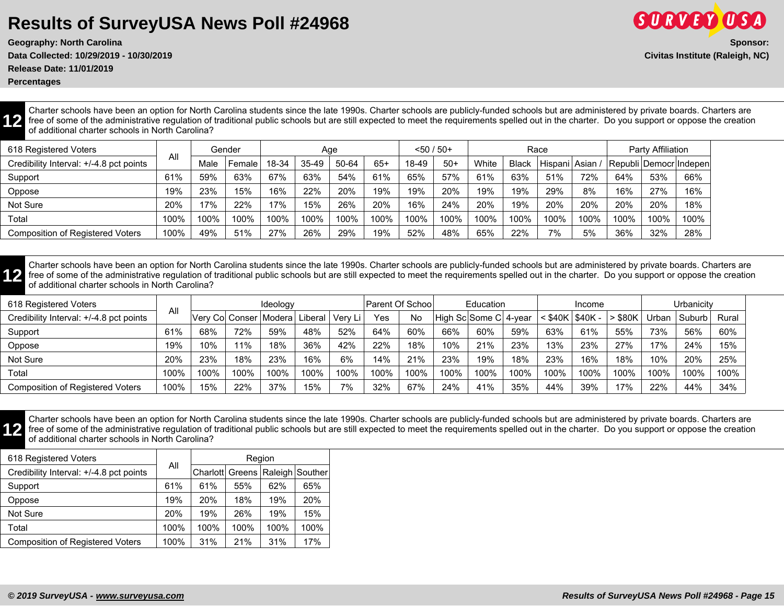**Data Collected: 10/29/2019 - 10/30/2019 Civitas Institute (Raleigh, NC)**

**Release Date: 11/01/2019**

**Percentages**

**12**

Charter schools have been an option for North Carolina students since the late 1990s. Charter schools are publicly-funded schools but are administered by private boards. Charters are free of some of the administrative regulation of traditional public schools but are still expected to meet the requirements spelled out in the charter. Do you support or oppose the creation of additional charter schools in North Carolina?

| 618 Registered Voters                   |      |      | Gender |       | Age   |       |       | $< 50 / 50+$ |       |       |              | Race              |      |      | Party Affiliation |                            |
|-----------------------------------------|------|------|--------|-------|-------|-------|-------|--------------|-------|-------|--------------|-------------------|------|------|-------------------|----------------------------|
| Credibility Interval: +/-4.8 pct points | All  | Male | Female | 18-34 | 35-49 | 50-64 | $65+$ | 18-49        | $50+$ | White | <b>Black</b> | l Hispani   Asian |      |      |                   | Republi   Democr   Indepen |
| Support                                 | 61%  | 59%  | 63%    | 67%   | 63%   | 54%   | 61%   | 65%          | 57%   | 61%   | 63%          | 51%               | 72%  | 64%  | 53%               | 66%                        |
| Oppose                                  | 19%  | 23%  | 15%    | 16%   | 22%   | 20%   | 19%   | 19%          | 20%   | 19%   | 19%          | 29%               | 8%   | 16%  | 27%               | 16%                        |
| Not Sure                                | 20%  | 17%  | 22%    | 17%   | 15%   | 26%   | 20%   | 16%          | 24%   | 20%   | 19%          | 20%               | 20%  | 20%  | 20%               | 18%                        |
| Total                                   | 100% | 100% | 100%   | 100%  | 100%  | 100%  | 100%  | 100%         | 100%  | 100%  | 100%         | 100%              | 100% | 100% | 100%              | 100%                       |
| <b>Composition of Registered Voters</b> | 100% | 49%  | 51%    | 27%   | 26%   | 29%   | 19%   | 52%          | 48%   | 65%   | 22%          | 7%                | 5%   | 36%  | 32%               | 28%                        |

**12** Charter schools have been an option for North Carolina students since the late 1990s. Charter schools are publicly-funded schools but are administered by private boards. Charters are free of some of the administrative regulation of traditional public schools but are still expected to meet the requirements spelled out in the charter. Do you support or oppose the creation of additional charter schools in North Carolina?

| 618 Registered Voters                   |      |                                    |      | Ideology |      |         | Parent Of Schoo |      |                       | Education |      |                   | Income        |              |       | Urbanicitv |       |
|-----------------------------------------|------|------------------------------------|------|----------|------|---------|-----------------|------|-----------------------|-----------|------|-------------------|---------------|--------------|-------|------------|-------|
| Credibility Interval: +/-4.8 pct points | All  | Verv Col Conser   Modera   Liberal |      |          |      | Verv Li | Yes             | No   | High Sc Some C 4-year |           |      | $<$ \$40K $\vert$ | <b>S40K -</b> | <b>\$80K</b> | Urban | Suburb     | Rural |
| Support                                 | 61%  | 68%                                | 72%  | 59%      | 48%  | 52%     | 64%             | 60%  | 66%                   | 60%       | 59%  | 63%               | 61%           | 55%          | 73%   | 56%        | 60%   |
| Oppose                                  | 19%  | 10%                                | 11%  | 18%      | 36%  | 42%     | 22%             | 18%  | 10%                   | 21%       | 23%  | 13%               | 23%           | 27%          | 17%   | 24%        | 15%   |
| Not Sure                                | 20%  | 23%                                | 18%  | 23%      | 16%  | 6%      | 14%             | 21%  | 23%                   | 19%       | 18%  | 23%               | 16%           | 18%          | 10%   | 20%        | 25%   |
| Total                                   | 100% | 100%                               | 100% | 100%     | 100% | 100%    | 100%            | 100% | 100%                  | 100%      | 100% | 100%              | 100%          | 100%         | 100%  | 100%       | 100%  |
| Composition of Registered Voters        | 100% | 15%                                | 22%  | 37%      | 15%  | 7%      | 32%             | 67%  | 24%                   | 41%       | 35%  | 44%               | 39%           | 17%          | 22%   | 44%        | 34%   |



Charter schools have been an option for North Carolina students since the late 1990s. Charter schools are publicly-funded schools but are administered by private boards. Charters are free of some of the administrative regulation of traditional public schools but are still expected to meet the requirements spelled out in the charter. Do you support or oppose the creation of additional charter schools in North Carolina?

| 618 Registered Voters                   |      | Region |      |      |                                     |  |  |  |  |
|-----------------------------------------|------|--------|------|------|-------------------------------------|--|--|--|--|
| Credibility Interval: +/-4.8 pct points | All  |        |      |      | Charlott Greens   Raleigh   Souther |  |  |  |  |
| Support                                 | 61%  | 61%    | 55%  | 62%  | 65%                                 |  |  |  |  |
| Oppose                                  | 19%  | 20%    | 18%  | 19%  | 20%                                 |  |  |  |  |
| Not Sure                                | 20%  | 19%    | 26%  | 19%  | 15%                                 |  |  |  |  |
| Total                                   | 100% | 100%   | 100% | 100% | 100%                                |  |  |  |  |
| <b>Composition of Registered Voters</b> | 100% | 31%    | 21%  | 31%  | 17%                                 |  |  |  |  |

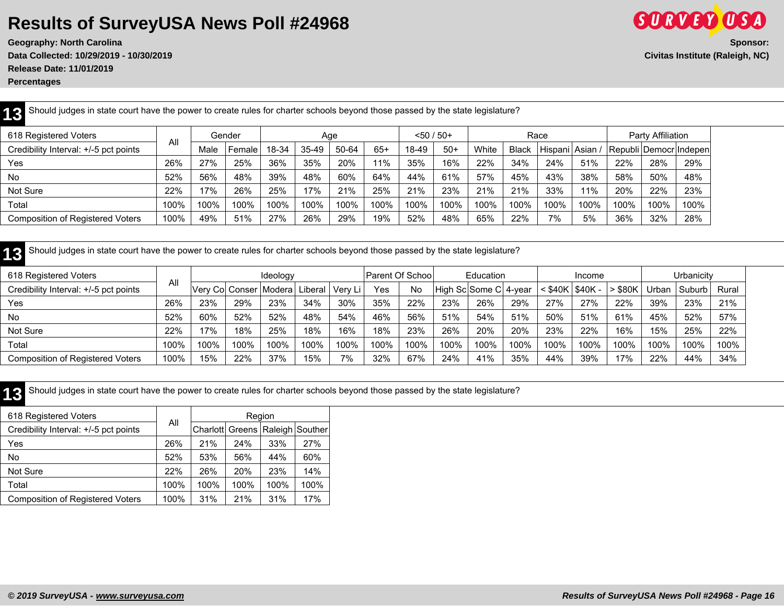**Geography: North Carolina** Sponsor: Sponsor: Sponsor: Sponsor: Sponsor: Sponsor: Sponsor: Sponsor: Sponsor: Sponsor: Sponsor: Sponsor: Sponsor: Sponsor: Sponsor: Sponsor: Sponsor: Sponsor: Sponsor: Sponsor: Sponsor: Spons **Data Collected: 10/29/2019 - 10/30/2019 Civitas Institute (Raleigh, NC) Release Date: 11/01/2019**

**Percentages**

| Should judges in state court have the power to create rules for charter schools beyond those passed by the state legislature?<br>12 |      |      |        |       |       |       |       |       |              |       |              |                     |      |      |                   |                        |
|-------------------------------------------------------------------------------------------------------------------------------------|------|------|--------|-------|-------|-------|-------|-------|--------------|-------|--------------|---------------------|------|------|-------------------|------------------------|
| 618 Registered Voters                                                                                                               | All  |      | Gender |       |       | Age   |       |       | $<$ 50 / 50+ |       |              | Race                |      |      | Party Affiliation |                        |
| Credibility Interval: +/-5 pct points                                                                                               |      | Male | Female | 18-34 | 35-49 | 50-64 | $65+$ | 18-49 | $50+$        | White | <b>Black</b> | l Hispani   Asian . |      |      |                   | Republi Democr Indepen |
| Yes                                                                                                                                 | 26%  | 27%  | 25%    | 36%   | 35%   | 20%   | 11%   | 35%   | 16%          | 22%   | 34%          | 24%                 | 51%  | 22%  | 28%               | 29%                    |
| No                                                                                                                                  | 52%  | 56%  | 48%    | 39%   | 48%   | 60%   | 64%   | 44%   | 61%          | 57%   | 45%          | 43%                 | 38%  | 58%  | 50%               | 48%                    |
| Not Sure                                                                                                                            | 22%  | 17%  | 26%    | 25%   | 17%   | 21%   | 25%   | 21%   | 23%          | 21%   | 21%          | 33%                 | 11%  | 20%  | 22%               | 23%                    |
| Total                                                                                                                               | 100% | 100% | 100%   | 100%  | 100%  | 100%  | 100%  | 100%  | 100%         | 100%  | 100%         | 100%                | 100% | 100% | 100%              | 100%                   |
| <b>Composition of Registered Voters</b>                                                                                             | 100% | 49%  | 51%    | 27%   | 26%   | 29%   | 19%   | 52%   | 48%          | 65%   | 22%          | 7%                  | 5%   | 36%  | 32%               | 28%                    |

**13** Should judges in state court have the power to create rules for charter schools beyond those passed by the state legislature?

| 618 Registered Voters                   |      | Ideology                 |      |      | Parent Of School |          | Education |      |      | Income                 |      |                     | Urbanicitv |       |       |        |       |
|-----------------------------------------|------|--------------------------|------|------|------------------|----------|-----------|------|------|------------------------|------|---------------------|------------|-------|-------|--------|-------|
| Credibility Interval: +/-5 pct points   | All  | Verv Col Conser   Modera |      |      | Liberal          | -Verv Li | Yes       | No   |      | High Sc Some C  4-year |      | $<$ \$40K   \$40K - |            | \$80K | Urban | Suburb | Rural |
| Yes                                     | 26%  | 23%                      | 29%  | 23%  | 34%              | $30\%$   | 35%       | 22%  | 23%  | 26%                    | 29%  | 27%                 | 27%        | 22%   | 39%   | 23%    | 21%   |
| <b>No</b>                               | 52%  | 60%                      | 52%  | 52%  | 48%              | 54%      | 46%       | 56%  | 51%  | 54%                    | 51%  | 50%                 | 51%        | 61%   | 45%   | 52%    | 57%   |
| Not Sure                                | 22%  | 17%                      | 18%  | 25%  | 18%              | 16%      | 18%       | 23%  | 26%  | 20%                    | 20%  | 23%                 | 22%        | 16%   | 15%   | 25%    | 22%   |
| Total                                   | 100% | 100%                     | 100% | 100% | 100%             | 100%     | 100%      | 100% | 100% | 100%                   | 100% | 100%                | 100%       | 100%  | 100%  | 100%   | 100%  |
| <b>Composition of Registered Voters</b> | 100% | 15%                      | 22%  | 37%  | 15%              | 7%       | 32%       | 67%  | 24%  | 41%                    | 35%  | 44%                 | 39%        | 17%   | 22%   | 44%    | 34%   |

**13** Should judges in state court have the power to create rules for charter schools beyond those passed by the state legislature?

| 618 Registered Voters                   |      | Region |      |      |                                     |  |  |  |  |
|-----------------------------------------|------|--------|------|------|-------------------------------------|--|--|--|--|
| Credibility Interval: +/-5 pct points   | All  |        |      |      | Charlott Greens   Raleigh   Souther |  |  |  |  |
| Yes                                     | 26%  | 21%    | 24%  | 33%  | 27%                                 |  |  |  |  |
| No                                      | 52%  | 53%    | 56%  | 44%  | 60%                                 |  |  |  |  |
| Not Sure                                | 22%  | 26%    | 20%  | 23%  | 14%                                 |  |  |  |  |
| Total                                   | 100% | 100%   | 100% | 100% | 100%                                |  |  |  |  |
| <b>Composition of Registered Voters</b> | 100% | 31%    | 21%  | 31%  | 17%                                 |  |  |  |  |

**SURVEY USA**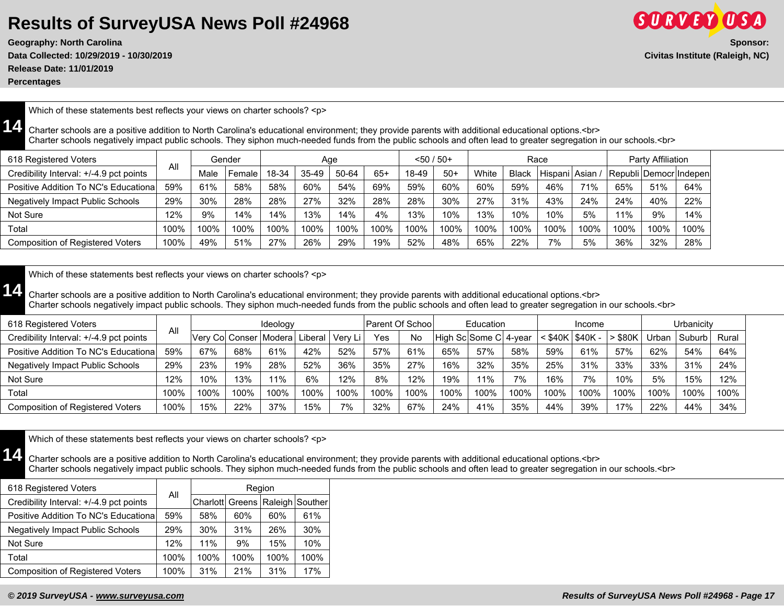**Release Date: 11/01/2019**

**Percentages**

Which of these statements best reflects your views on charter schools? <p>

**14** Charter schools are a positive addition to North Carolina's educational environment; they provide parents with additional educational options.<br> Charter schools negatively impact public schools. They siphon much-needed funds from the public schools and often lead to greater segregation in our schools.<br>

| 618 Registered Voters                   |      |      | Gender | Aqe   |       |       |       | $< 50 / 50+$ |       | Race  |              |                 |      | Party Affiliation |      |                        |
|-----------------------------------------|------|------|--------|-------|-------|-------|-------|--------------|-------|-------|--------------|-----------------|------|-------------------|------|------------------------|
| Credibility Interval: +/-4.9 pct points | All  | Male | Female | 18-34 | 35-49 | 50-64 | $65+$ | 18-49        | $50+$ | White | <b>Black</b> | Hispani   Asian |      |                   |      | Republi Democr Indepen |
| Positive Addition To NC's Educational   | 59%  | 61%  | 58%    | 58%   | 60%   | 54%   | 69%   | 59%          | 60%   | 60%   | 59%          | 46%             | 71%  | 65%               | 51%  | 64%                    |
| <b>Negatively Impact Public Schools</b> | 29%  | 30%  | 28%    | 28%   | 27%   | 32%   | 28%   | 28%          | 30%   | 27%   | 31%          | 43%             | 24%  | 24%               | 40%  | 22%                    |
| Not Sure                                | 12%  | 9%   | 14%    | 14%   | 13%   | 14%   | 4%    | 13%          | 10%   | 13%   | 10%          | 10%             | 5%   | 11%               | 9%   | 14%                    |
| Total                                   | 100% | 100% | 100%   | 100%  | 100%  | 100%  | 100%  | 100%         | 100%  | 100%  | 100%         | 100%            | 100% | 100%              | 100% | 100%                   |
| <b>Composition of Registered Voters</b> | 100% | 49%  | 51%    | 27%   | 26%   | 29%   | 19%   | 52%          | 48%   | 65%   | 22%          | 7%              | 5%   | 36%               | 32%  | 28%                    |

Which of these statements best reflects your views on charter schools? <p>

**14** Charter schools are a positive addition to North Carolina's educational environment; they provide parents with additional educational options.<br> Charter schools negatively impact public schools. They siphon much-needed funds from the public schools and often lead to greater segregation in our schools.<br>

| 618 Registered Voters                   |      | Ideology                 |      |       |         | Parent Of School |      | Education |      |                       | Income |       |           |         | Urbanicitv |        |       |
|-----------------------------------------|------|--------------------------|------|-------|---------|------------------|------|-----------|------|-----------------------|--------|-------|-----------|---------|------------|--------|-------|
| Credibility Interval: +/-4.9 pct points | All  | Verv Col Conser   Modera |      |       | Liberal | Very Li          | Yes  | No        |      | High Sc Some C 4-year |        | \$40K | ' \$40K - | $s$ 80K | Urban      | Suburb | Rural |
| Positive Addition To NC's Educational   | 59%  | 67%                      | 68%  | 61%   | 42%     | 52%              | 57%  | 61%       | 65%  | 57%                   | 58%    | 59%   | 61%       | 57%     | 62%        | 54%    | 64%   |
| <b>Negatively Impact Public Schools</b> | 29%  | 23%                      | 19%  | 28%   | 52%     | 36%              | 35%  | 27%       | 16%  | 32%                   | 35%    | 25%   | 31%       | 33%     | 33%        | 31%    | 24%   |
| Not Sure                                | 12%  | 10%                      | 13%  | $1\%$ | 6%      | 12%              | 8%   | 12%       | 19%  | 11%                   | 7%     | 16%   | 7%        | 10%     | 5%         | 15%    | 12%   |
| Total                                   | 100% | 100%                     | 100% | 100%  | 100%    | 100%             | 100% | 100%      | 100% | 100%                  | 100%   | 100%  | 100%      | 100%    | 100%       | 100%   | 100%  |
| <b>Composition of Registered Voters</b> | 100% | 15%                      | 22%  | 37%   | 15%     | 7%               | 32%  | 67%       | 24%  | 41%                   | 35%    | 44%   | 39%       | 17%     | 22%        | 44%    | 34%   |

Which of these statements best reflects your views on charter schools? <p>

**14** Charter schools are a positive addition to North Carolina's educational environment; they provide parents with additional educational options.<br> Charter schools negatively impact public schools. They siphon much-needed funds from the public schools and often lead to greater segregation in our schools.<br>

| 618 Registered Voters                   | All  | Region |      |      |                                     |  |  |  |  |
|-----------------------------------------|------|--------|------|------|-------------------------------------|--|--|--|--|
| Credibility Interval: +/-4.9 pct points |      |        |      |      | Charlott Greens   Raleigh   Souther |  |  |  |  |
| Positive Addition To NC's Educational   | 59%  | 58%    | 60%  | 60%  | 61%                                 |  |  |  |  |
| <b>Negatively Impact Public Schools</b> | 29%  | 30%    | 31%  | 26%  | 30%                                 |  |  |  |  |
| Not Sure                                | 12%  | 11%    | 9%   | 15%  | 10%                                 |  |  |  |  |
| Total                                   | 100% | 100%   | 100% | 100% | 100%                                |  |  |  |  |
| <b>Composition of Registered Voters</b> | 100% | 31%    | 21%  | 31%  | 17%                                 |  |  |  |  |